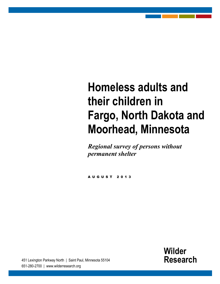# **Homeless adults and their children in Fargo, North Dakota and Moorhead, Minnesota**

*Regional survey of persons without permanent shelter*

AUGUST 201 3

**Wilder Research**

[Information.](http://www.wilderresearch.org/) Insight. Impact.

451 Lexington Parkway North | Saint Paul, Minnesota 55104 651-280-2700 | www.wilderresearch.org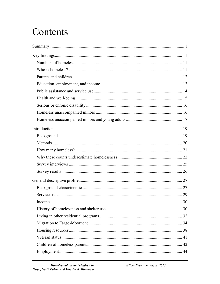## Contents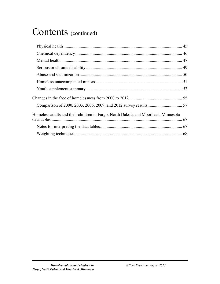## Contents (continued)

| Homeless adults and their children in Fargo, North Dakota and Moorhead, Minnesota |  |
|-----------------------------------------------------------------------------------|--|
|                                                                                   |  |
|                                                                                   |  |
|                                                                                   |  |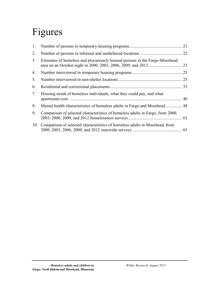# Figures

| 1.             |                                                                                | 21 |
|----------------|--------------------------------------------------------------------------------|----|
| 2.             |                                                                                |    |
| 3.             | Estimates of homeless and precariously housed persons in the Fargo-Moorhead    | 23 |
| 4.             |                                                                                |    |
| 5.             |                                                                                | 25 |
| 6.             |                                                                                | 33 |
| 7 <sub>1</sub> | Housing needs of homeless individuals, what they could pay, and what           | 40 |
| 8.             | Mental health characteristics of homeless adults in Fargo and Moorhead  48     |    |
| 9.             | Comparison of selected characteristics of homeless adults in Fargo, from 2000, |    |
| 10.            | Comparison of selected characteristics of homeless adults in Moorhead, from    |    |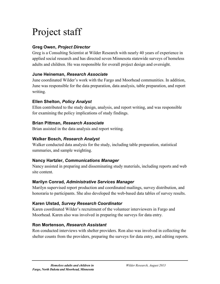# Project staff

#### **Greg Owen,** *Project Director*

Greg is a Consulting Scientist at Wilder Research with nearly 40 years of experience in applied social research and has directed seven Minnesota statewide surveys of homeless adults and children. He was responsible for overall project design and oversight.

#### **June Heineman,** *Research Associate*

June coordinated Wilder's work with the Fargo and Moorhead communities. In addition, June was responsible for the data preparation, data analysis, table preparation, and report writing.

#### **Ellen Shelton,** *Policy Analyst*

Ellen contributed to the study design, analysis, and report writing, and was responsible for examining the policy implications of study findings.

#### **Brian Pittman,** *Research Associate*

Brian assisted in the data analysis and report writing.

#### **Walker Bosch,** *Research Analyst*

Walker conducted data analysis for the study, including table preparation, statistical summaries, and sample weighting.

#### **Nancy Hartzler,** *Communications Manager*

Nancy assisted in preparing and disseminating study materials, including reports and web site content.

#### **Marilyn Conrad,** *Administrative Services Manager*

Marilyn supervised report production and coordinated mailings, survey distribution, and honoraria to participants. She also developed the web-based data tables of survey results.

#### **Karen Ulstad,** *Survey Research Coordinator*

Karen coordinated Wilder's recruitment of the volunteer interviewers in Fargo and Moorhead. Karen also was involved in preparing the surveys for data entry.

#### **Ron Mortenson,** *Research Assistant*

Ron conducted interviews with shelter providers. Ron also was involved in collecting the shelter counts from the providers, preparing the surveys for data entry, and editing reports.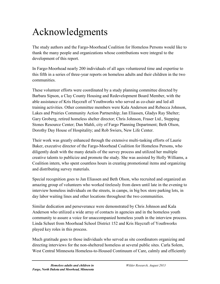## Acknowledgments

The study authors and the Fargo-Moorhead Coalition for Homeless Persons would like to thank the many people and organizations whose contributions were integral to the development of this report.

In Fargo-Moorhead nearly 200 individuals of all ages volunteered time and expertise to this fifth in a series of three-year reports on homeless adults and their children in the two communities.

These volunteer efforts were coordinated by a study planning committee directed by Barbara Sipson, a Clay County Housing and Redevelopment Board Member, with the able assistance of Kris Haycraft of Youthworks who served as co-chair and led all training activities. Other committee members were Kala Anderson and Rebecca Johnson, Lakes and Prairies Community Action Partnership; Jan Eliassen, Gladys Ray Shelter; Gary Groberg, retired homeless shelter director; Chris Johnson, Fraser Ltd., Stepping Stones Resource Center; Dan Mahli, city of Fargo Planning Department; Beth Olson, Dorothy Day House of Hospitality; and Rob Swiers, New Life Center.

Their work was greatly enhanced through the extensive multi-tasking efforts of Laurie Baker, executive director of the Fargo-Moorhead Coalition for Homeless Persons, who diligently dealt with the many details of the survey process and utilized her multiple creative talents to publicize and promote the study. She was assisted by Holly Williams, a Coalition intern, who spent countless hours in creating promotional items and organizing and distributing survey materials.

Special recognition goes to Jan Eliassen and Beth Olson, who recruited and organized an amazing group of volunteers who worked tirelessly from dawn until late in the evening to interview homeless individuals on the streets, in camps, in big box store parking lots, in day labor waiting lines and other locations throughout the two communities.

Similar dedication and perseverance were demonstrated by Chris Johnson and Kala Anderson who utilized a wide array of contacts in agencies and in the homeless youth community to assure a voice for unaccompanied homeless youth in the interview process. Linda Scheet from Moorhead School District 152 and Kris Haycraft of Youthworks played key roles in this process.

Much gratitude goes to those individuals who served as site coordinators organizing and directing interviews for the non-sheltered homeless at several public sites. Carla Solem, West Central Minnesota Homeless-to-Housed Continuum of Care, calmly and efficiently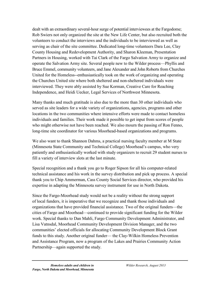dealt with an extraordinary several-hour surge of potential interviewees at the Fargodome; Rob Swiers not only organized the site at the New Life Center, but also recruited both the volunteers to conduct the interviews and the individuals to be interviewed as well as serving as chair of the site committee. Dedicated long-time volunteers Dara Lee, Clay County Housing and Redevelopment Authority, and Sharon Kleeman, Presentation Partners in Housing, worked with Tai Clark of the Fargo Salvation Army to organize and operate the Salvation Army site. Several people new to the Wilder process—Phyllis and Bruce Emmel, community volunteers, and Jane Alexander and John Roberts from Churches United for the Homeless--enthusiastically took on the work of organizing and operating the Churches United site where both sheltered and non-sheltered individuals were interviewed. They were ably assisted by Sue Korman, Creative Care for Reaching Independence, and Heidi Uecker, Legal Services of Northwest Minnesota.

Many thanks and much gratitude is also due to the more than 30 other individuals who served as site leaders for a wide variety of organizations, agencies, programs and other locations in the two communities where intensive efforts were made to contact homeless individuals and families. Their work made it possible to get input from scores of people who might otherwise not have been reached. We also mourn the passing of Ron Fenno, long-time site coordinator for various Moorhead-based organizations and programs.

We also want to thank Shannon Dahms, a practical nursing faculty member at M State (Minnesota State Community and Technical College) Moorhead's campus, who very patiently and enthusiastically worked with study organizers to recruit 29 student nurses to fill a variety of interview slots at the last minute.

Special recognition and a thank you go to Roger Sipson for all his computer-related technical assistance and his work in the survey distribution and pick up process. A special thank you to Chip Ammerman, Cass County Social Services director, who provided his expertise in adapting the Minnesota survey instrument for use in North Dakota.

Since the Fargo-Moorhead study would not be a reality without the strong support of local funders, it is imperative that we recognize and thank those individuals and organizations that have provided financial assistance. Two of the original funders—the cities of Fargo and Moorhead—continued to provide significant funding for the Wilder work. Special thanks to Dan Mahli, Fargo Community Development Administrator, and Lisa Vatnsdal, Moorhead Community Development Division Manager, and the two communities' elected officials for allocating Community Development Block Grant funds to this study. Another original funder— the Clay-Wilkin Homeless Prevention and Assistance Program, now a program of the Lakes and Prairies Community Action Partnership—again supported the study.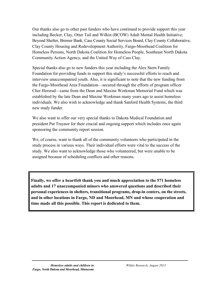Our thanks also go to other past funders who have continued to provide support this year including Becker, Clay, Otter Tail and Wilkin (BCOW) Adult Mental Health Initiative; Beyond Shelter, Bremer Bank, Cass County Social Services Board, Clay County Collaborative, Clay County Housing and Redevelopment Authority, Fargo-Moorhead Coalition for Homeless Persons, North Dakota Coalition for Homeless People, Southeast North Dakota Community Action Agency, and the United Way of Cass Clay.

Special thanks also go to new funders this year including the Alex Stern Family Foundation for providing funds to support this study's successful efforts to reach and interview unaccompanied youth. Also, it is significant to note that the new funding from the Fargo-Moorhead Area Foundation—secured through the efforts of program officer Cher Hersrud—came from the Dean and Maxine Workman Memorial Fund which was established by the late Dean and Maxine Workman many years ago to assist homeless individuals. We also wish to acknowledge and thank Sanford Health Systems, the third new study funder.

We also want to offer our very special thanks to Dakota Medical Foundation and president Pat Traynor for their crucial and ongoing support which includes once again sponsoring the community report session.

We, of course, want to thank all of the community volunteers who participated in the study process in various ways. Their individual efforts were vital to the success of the study. We also want to acknowledge those who volunteered, but were unable to be assigned because of scheduling conflicts and other reasons.

**Finally, we offer a heartfelt thank you and much appreciation to the 571 homeless adults and 17 unaccompanied minors who answered questions and described their personal experiences in shelters, transitional programs, drop-in centers, on the streets, and in other locations in Fargo, ND and Moorhead, MN and whose cooperation and time made all this possible. This report is dedicated to them.**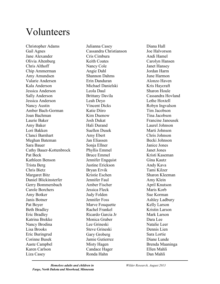## Volunteers

Christopher Adams Gail Agnes Jane Alexander Olivia Altenburg Chris Althoff Chip Ammerman Amy Amundsen Valarie Andersen Kala Anderson Jessica Anderson Sally Anderson Jessica Anderson Nancy Austin Amber Bach-Gorman Joan Bachman Laurie Baker Amy Baker Lori Bakken Clanci Barnhart Meghan Bateman Sara Bauer Cathy Bauer-Kottenbrock Pat Beck Kathleen Benson Trista Berg Chris Bietz Margaret Bitz Daniel Blickinsterfer Gerry Bommersbach Carole Borchers Amy Botker Janis Botner Pat Boyer Beth Bradley Eric Bradley Katrina Brekke Nancy Brodina Lisa Brooks Eric Buringrud Corinne Busek Aaste Campbel Karen Carlson Liza Casey

Julianna Casey Cassandra Christianson Cris Cimbura Keith Coates Nancy Cole Angie Dahl Shannon Dahms Erin Danduran Michael Danielski Leola Daul Brittany Davila Leah Deyo Vincent Dicks Katie Diiro Kim Duenow Josh Dukat Hali Durand Suellen Dusek Amy Ebert Jan Eliassen Sonja Ellner Phyllis Emmel Bruce Emmel Jennifer Engquist Justine Erickson Bryan Ervik Kristie Eschen Jennifer Faul Amber Fischer Jessica Fleck Judy Folden Jennifer Foss Marve Fouquette Rachel Frankel Ricardo Garcia Jr Monica Graber Lee Grineski Steve Grineski Gary Groberg Jamie Gutierrez Misty Hagen Candace Hager Ronda Hahn

Diana Hall Joe Halvorson Andi Hamel Carolyn Hansen Janet Hansey Jordan Harm June Harmon Alonzo Haven Kris Haycraft Sharon Houle Cassandra Hovland Lethe Hoxtell Robyn Ingvalson Tim Jacobson Tina Jacobson Francine Janousek Laurel Johnson Marti Johnson Chris Johnson Becki Johnson Janice Jones Janet Jones Kristi Kaseman Gina Kautz Andy Kava Tami Kilzer Sharon Kleeman Amy Klein April Knutson Maris Korb Sue Korman Ashley Ladbury Kelly Larson Kristin Larson Mark Larson Dara Lee Natalie Leer Dennis Lien Sara Lortie Diane Lunde Brenda Maaninga Ellen Mahli Dan Mahli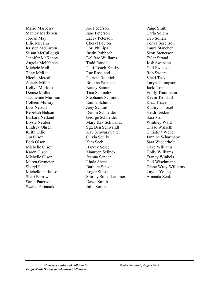Mario Marberry Stanley Markusen Jordan May Ellie Mccann Kristen McCarren Susan McCullough Jennifer McKenny Angela McKibben Michele McRae Tony McRae Nicole Metcalf Ashely Miller Kellyn Morlock Denise Mullen Jacqueline Murnion Colleen Murray Lois Nelson Rebekah Nelson Barbara Netland Elysia Neubert Lindsey Ohren Keith Ollie Jim Olson Beth Olson Michelle Olson Karen Olson Michelle Olson Maren Ortmeier Sheryl Pachl Michelle Parkinson Shari Parrow Sarah Paterson Swaha Pattanaik

Joe Pederson Jane Peterson Lacey Peterson Cheryl Peyton Lori Phillips Justin Rabbach Del Rae Williams Todd Randall Patti Roach Kratky Rae Roseland Patricia Rudnick Brianna Salather Nancy Samura Tina Schmaltz Stephanie Schmidt Emma Schmit Joey Schmit Denim Schneider George Schneider Mary Kay Schwandt Sgt. Ben Schwandt Kay Schwarzwalter Olivia Scully Kim Seeb Harvey Seidel Maureen Selinek Jeanna Sender Linda Sheet Barbara Sipson Roger Sipson Shirley Smedshammer Dawn Smith Julie Smith

Paige Smith Carla Solem Deb Soliah Tonya Sorenson Laura Stancher Scott Stenerson Tyler Strand Josh Swanson Gail Swenson Rob Swiers Vicki Teske Taryn Thompson Jacki Toppen Emily Trautmann Kevin Troldahl Khat Troxel Kathryn Troxel Heidi Uecker Sara Vail Whitney Wald Chase Walseth Christina Weber Jannine Whartnaby Sara Wiederholt Dave Williams Holly Williams Francy Winkels Gail Wischmann Diane Wray-Williams Taylor Young Amanda Zenk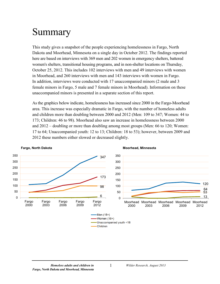## <span id="page-10-0"></span>Summary

This study gives a snapshot of the people experiencing homelessness in Fargo, North Dakota and Moorhead, Minnesota on a single day in October 2012. The findings reported here are based on interviews with 369 men and 202 women in emergency shelters, battered women's shelters, transitional housing programs, and in non-shelter locations on Thursday, October 25, 2012. This includes 102 interviews with men and 49 interviews with women in Moorhead, and 260 interviews with men and 143 interviews with women in Fargo. In addition, interviews were conducted with 17 unaccompanied minors (2 male and 3 female minors in Fargo, 5 male and 7 female minors in Moorhead). Information on these unaccompanied minors is presented in a separate section of this report.

As the graphics below indicate, homelessness has increased since 2000 in the Fargo-Moorhead area. This increase was especially dramatic in Fargo, with the number of homeless adults and children more than doubling between 2000 and 2012 (Men: 109 to 347; Women: 44 to 173; Children: 46 to 98). Moorhead also saw an increase in homelessness between 2000 and 2012 – doubling or more than doubling among most groups (Men: 66 to 120; Women: 17 to 64; Unaccompanied youth: 12 to 13; Children: 18 to 53); however, between 2009 and 2012 these numbers either slowed or decreased slightly.



#### **Fargo, North Dakota Moorhead, Minnesota**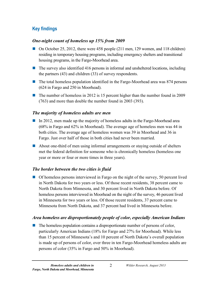### **Key findings**

#### *One-night count of homeless up 15% from 2009*

- On October 25, 2012, there were 458 people (211 men, 129 women, and 118 children) residing in temporary housing programs, including emergency shelters and transitional housing programs, in the Fargo-Moorhead area.
- **The survey also identified 416 persons in informal and unsheltered locations, including** the partners (43) and children (33) of survey respondents.
- The total homeless population identified in the Fargo-Moorhead area was 874 persons (624 in Fargo and 250 in Moorhead).
- The number of homeless in 2012 is 15 percent higher than the number found in 2009 (763) and more than double the number found in 2003 (393).

#### *The majority of homeless adults are men*

- In 2012, men made up the majority of homeless adults in the Fargo-Moorhead area (68% in Fargo and 62% in Moorhead). The average age of homeless men was 44 in both cities. The average age of homeless women was 39 in Moorhead and 36 in Fargo. Just over half of those in both cities had never been married.
- About one-third of men using informal arrangements or staying outside of shelters met the federal definition for someone who is chronically homeless (homeless one year or more or four or more times in three years).

### *The border between the two cities is fluid*

 $\Box$  Of homeless persons interviewed in Fargo on the night of the survey, 50 percent lived in North Dakota for two years or less. Of those recent residents, 38 percent came to North Dakota from Minnesota, and 30 percent lived in North Dakota before. Of homeless persons interviewed in Moorhead on the night of the survey, 46 percent lived in Minnesota for two years or less. Of those recent residents, 37 percent came to Minnesota from North Dakota, and 37 percent had lived in Minnesota before.

#### *Area homeless are disproportionately people of color, especially American Indians*

 $\blacksquare$  The homeless population contains a disproportionate number of persons of color, particularly American Indians (18% for Fargo and 27% for Moorhead). While less than 15 percent of Minnesota's and 10 percent of North Dakota's overall population is made up of persons of color, over three in ten Fargo-Moorhead homeless adults are persons of color (35% in Fargo and 50% in Moorhead).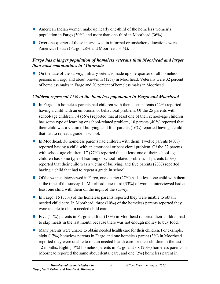- American Indian women make up nearly one-third of the homeless women's population in Fargo (30%) and more than one-third in Moorhead (36%).
- Over one-quarter of those interviewed in informal or unsheltered locations were American Indian (Fargo, 28% and Moorhead, 31%).

#### *Fargo has a larger population of homeless veterans than Moorhead and larger than most communities in Minnesota*

 On the date of the survey, military veterans made up one-quarter of all homeless persons in Fargo and about one-tenth (12%) in Moorhead. Veterans were 32 percent of homeless males in Fargo and 20 percent of homeless males in Moorhead.

#### *Children represent 17% of the homeless population in Fargo and Moorhead*

- In Fargo, 46 homeless parents had children with them. Ten parents  $(22%)$  reported having a child with an emotional or behavioral problem. Of the 25 parents with school-age children, 14 (56%) reported that at least one of their school-age children has some type of learning or school-related problem, 10 parents (40%) reported that their child was a victim of bullying, and four parents (16%) reported having a child that had to repeat a grade in school.
- In Moorhead, 30 homeless parents had children with them. Twelve parents  $(40\%)$ reported having a child with an emotional or behavioral problem. Of the 22 parents with school-age children, 17 (77%) reported that at least one of their school-age children has some type of learning or school-related problem, 11 parents (50%) reported that their child was a victim of bullying, and five parents (23%) reported having a child that had to repeat a grade in school.
- $\Box$  Of the women interviewed in Fargo, one-quarter (27%) had at least one child with them at the time of the survey. In Moorhead, one-third (33%) of women interviewed had at least one child with them on the night of the survey.
- In Fargo, 15 (33%) of the homeless parents reported they were unable to obtain needed child care. In Moorhead, three (10%) of the homeless parents reported they were unable to obtain needed child care.
- Five  $(11\%)$  parents in Fargo and four  $(13\%)$  in Moorhead reported their children had to skip meals in the last month because there was not enough money to buy food.
- **Many parents were unable to obtain needed health care for their children. For example,** eight (17%) homeless parents in Fargo and one homeless parent (3%) in Moorhead reported they were unable to obtain needed health care for their children in the last 12 months. Eight (17%) homeless parents in Fargo and six (20%) homeless parents in Moorhead reported the same about dental care, and one (2%) homeless parent in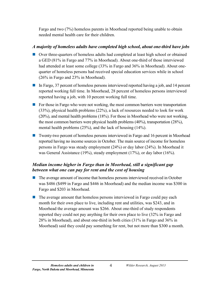Fargo and two (7%) homeless parents in Moorhead reported being unable to obtain needed mental health care for their children.

#### *A majority of homeless adults have completed high school, about one-third have jobs*

- Over three-quarters of homeless adults had completed at least high school or obtained a GED (81% in Fargo and 77% in Moorhead). About one-third of those interviewed had attended at least some college (33% in Fargo and 36% in Moorhead). About onequarter of homeless persons had received special education services while in school (26% in Fargo and 23% in Moorhead).
- In Fargo, 37 percent of homeless persons interviewed reported having a job, and 14 percent reported working full time. In Moorhead, 28 percent of homeless persons interviewed reported having a job, with 10 percent working full time.
- $\blacksquare$  For those in Fargo who were not working, the most common barriers were transportation (33%), physical health problems (22%), a lack of resources needed to look for work (20%), and mental health problems (18%). For those in Moorhead who were not working, the most common barriers were physical health problems (40%), transportation (28%), mental health problems (25%), and the lack of housing (14%).
- **T** Twenty-two percent of homeless persons interviewed in Fargo and 16 percent in Moorhead reported having no income sources in October. The main source of income for homeless persons in Fargo was steady employment (24%) or day labor (24%). In Moorhead it was General Assistance (19%), steady employment (17%), or day labor (16%).

#### *Median income higher in Fargo than in Moorhead, still a significant gap between what one can pay for rent and the cost of housing*

- **The average amount of income that homeless persons interviewed received in October** was \$486 (\$499 in Fargo and \$446 in Moorhead) and the median income was \$300 in Fargo and \$203 in Moorhead.
- **The average amount that homeless persons interviewed in Fargo could pay each** month for their own place to live, including rent and utilities, was \$243, and in Moorhead the average amount was \$266. About one-third of study respondents reported they could not pay anything for their own place to live (32% in Fargo and 28% in Moorhead), and about one-third in both cities (31% in Fargo and 36% in Moorhead) said they could pay something for rent, but not more than \$300 a month.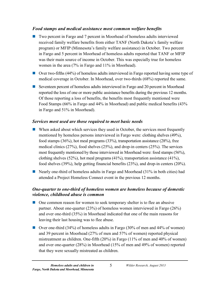#### *Food stamps and medical assistance most common welfare benefits*

- Two percent in Fargo and 7 percent in Moorhead of homeless adults interviewed received family welfare benefits from either TANF (North Dakota's family welfare program) or MFIP (Minnesota's family welfare assistance) in October. Two percent in Fargo and 5 percent in Moorhead of homeless adults reported that TANF or MFIP was their main source of income in October. This was especially true for homeless women in the area (7% in Fargo and 11% in Moorhead).
- Over two-fifths (44%) of homeless adults interviewed in Fargo reported having some type of medical coverage in October. In Moorhead, over two-thirds (68%) reported the same.
- Seventeen percent of homeless adults interviewed in Fargo and 20 percent in Moorhead reported the loss of one or more public assistance benefits during the previous 12 months. Of those reporting a loss of benefits, the benefits most frequently mentioned were Food Stamps (66% in Fargo and 44% in Moorhead) and public medical benefits (43% in Fargo and 51% in Moorhead).

#### *Services most used are those required to meet basic needs*

- When asked about which services they used in October, the services most frequently mentioned by homeless persons interviewed in Fargo were: clothing shelves (49%), food stamps (36%), hot meal programs (33%), transportation assistance (28%), free medical clinics (27%), food shelves (25%), and drop-in centers (25%). The services most frequently mentioned by those interviewed in Moorhead were: food stamps (56%), clothing shelves (52%), hot meal programs (41%), transportation assistance (41%), food shelves (39%), help getting financial benefits (23%), and drop-in centers (20%).
- Nearly one-third of homeless adults in Fargo and Moorhead  $(31\%$  in both cities) had attended a Project Homeless Connect event in the previous 12 months.

#### *One-quarter to one-third of homeless women are homeless because of domestic violence, childhood abuse is common*

- One common reason for women to seek temporary shelter is to flee an abusive partner. About one-quarter (23%) of homeless women interviewed in Fargo (26%) and over one-third (35%) in Moorhead indicated that one of the main reasons for leaving their last housing was to flee abuse.
- Over one-third (34%) of homeless adults in Fargo (30% of men and 44% of women) and 39 percent in Moorhead (27% of men and 57% of women) reported physical mistreatment as children. One-fifth (20%) in Fargo (11% of men and 40% of women) and over one-quarter (28%) in Moorhead (15% of men and 49% of women) reported that they were sexually mistreated as children.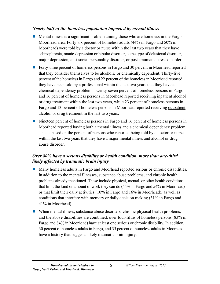#### *Nearly half of the homeless population impacted by mental illness*

- Mental illness is a significant problem among those who are homeless in the Fargo-Moorhead area. Forty-six percent of homeless adults (44% in Fargo and 50% in Moorhead) were told by a doctor or nurse within the last two years that they have schizophrenia, manic-depression or bipolar disorder, some type of delusional disorder, major depression, anti-social personality disorder, or post-traumatic stress disorder.
- Forty-three percent of homeless persons in Fargo and 30 percent in Moorhead reported that they consider themselves to be alcoholic or chemically dependent. Thirty-five percent of the homeless in Fargo and 22 percent of the homeless in Moorhead reported they have been told by a professional within the last two years that they have a chemical dependency problem. Twenty-seven percent of homeless persons in Fargo and 16 percent of homeless persons in Moorhead reported receiving inpatient alcohol or drug treatment within the last two years, while 23 percent of homeless persons in Fargo and 13 percent of homeless persons in Moorhead reported receiving outpatient alcohol or drug treatment in the last two years.
- Nineteen percent of homeless persons in Fargo and 16 percent of homeless persons in Moorhead reported having both a mental illness and a chemical dependency problem. This is based on the percent of persons who reported being told by a doctor or nurse within the last two years that they have a major mental illness and alcohol or drug abuse disorder.

#### *Over 80% have a serious disability or health condition, more than one-third likely affected by traumatic brain injury*

- Many homeless adults in Fargo and Moorhead reported serious or chronic disabilities, in addition to the mental illnesses, substance abuse problems, and chronic health problems already mentioned. These include physical, mental, or other health conditions that limit the kind or amount of work they can do (44% in Fargo and 54% in Moorhead) or that limit their daily activities (10% in Fargo and 16% in Moorhead), as well as conditions that interfere with memory or daily decision making (31% in Fargo and 41% in Moorhead).
- When mental illness, substance abuse disorders, chronic physical health problems, and the above disabilities are combined, over four-fifths of homeless persons (83% in Fargo and 84% in Moorhead) have at least one serious or chronic disability. In addition, 30 percent of homeless adults in Fargo, and 35 percent of homeless adults in Moorhead, have a history that suggests likely traumatic brain injury.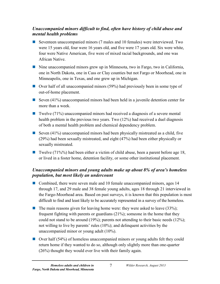#### *Unaccompanied minors difficult to find, often have history of child abuse and mental health problems*

- Seventeen unaccompanied minors (7 males and 10 females) were interviewed. Two were 15 years old, four were 16 years old, and five were 17 years old. Six were white, four were Native American, five were of mixed racial backgrounds, and one was African Native.
- Nine unaccompanied minors grew up in Minnesota, two in Fargo, two in California, one in North Dakota, one in Cass or Clay counties but not Fargo or Moorhead, one in Minneapolis, one in Texas, and one grew up in Michigan.
- Over half of all unaccompanied minors (59%) had previously been in some type of out-of-home placement.
- Seven  $(41\%)$  unaccompanied minors had been held in a juvenile detention center for more than a week.
- Twelve (71%) unaccompanied minors had received a diagnosis of a severe mental health problem in the previous two years. Two (12%) had received a duel diagnosis of both a mental health problem and chemical dependency problem.
- Seven  $(41\%)$  unaccompanied minors had been physically mistreated as a child, five (29%) had been sexually mistreated, and eight (47%) had been either physically or sexually mistreated.
- Twelve  $(71\%/0)$  had been either a victim of child abuse, been a parent before age 18, or lived in a foster home, detention facility, or some other institutional placement.

#### *Unaccompanied minors and young adults make up about 8% of area's homeless population, but most likely an undercount*

- Combined, there were seven male and 10 female unaccompanied minors, ages 14 through 17, and 29 male and 38 female young adults, ages 18 through 21 interviewed in the Fargo-Moorhead area. Based on past surveys, it is known that this population is most difficult to find and least likely to be accurately represented in a survey of the homeless.
- $\blacksquare$  The main reasons given for leaving home were: they were asked to leave (33%); frequent fighting with parents or guardians (21%); someone in the home that they could not stand to be around (19%); parents not attending to their basic needs (12%); not willing to live by parents' rules (10%); and delinquent activities by the unaccompanied minor or young adult (10%).
- Over half (54%) of homeless unaccompanied minors or young adults felt they could return home if they wanted to do so, although only slightly more than one-quarter (26%) thought they would ever live with their family again.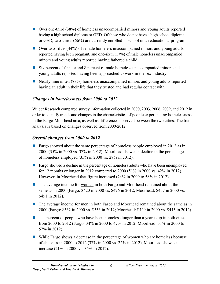- Over one-third (38%) of homeless unaccompanied minors and young adults reported having a high school diploma or GED. Of those who do not have a high school diploma or GED, two-thirds (66%) are currently enrolled in school or an educational program.
- Over two-fifths (44%) of female homeless unaccompanied minors and young adults reported having been pregnant, and one-sixth (17%) of male homeless unaccompanied minors and young adults reported having fathered a child.
- Six percent of female and 8 percent of male homeless unaccompanied minors and young adults reported having been approached to work in the sex industry.
- Nearly nine in ten (88%) homeless unaccompanied minors and young adults reported having an adult in their life that they trusted and had regular contact with.

#### *Changes in homelessness from 2000 to 2012*

Wilder Research compared survey information collected in 2000, 2003, 2006, 2009, and 2012 in order to identify trends and changes in the characteristics of people experiencing homelessness in the Fargo-Moorhead area, as well as differences observed between the two cities. The trend analysis is based on changes observed from 2000-2012.

#### *Overall changes from 2000 to 2012*

- **Fargo showed about the same percentage of homeless people employed in 2012 as in** 2000 (35% in 2000 vs. 37% in 2012); Moorhead showed a decline in the percentage of homeless employed (35% in 2000 vs. 28% in 2012).
- **Fargo showed a decline in the percentage of homeless adults who have been unemployed** for 12 months or longer in 2012 compared to 2000 (51% in 2000 vs. 42% in 2012). However, in Moorhead that figure increased (24% in 2000 to 58% in 2012).
- **The average income for <u>women</u>** in both Fargo and Moorhead remained about the same as in 2000 (Fargo: \$420 in 2000 vs. \$426 in 2012; Moorhead: \$457 in 2000 vs. \$451 in 2012).
- **The average income for men in both Fargo and Moorhead remained about the same as in** 2000 (Fargo: \$532 in 2000 vs. \$533 in 2012; Moorhead: \$449 in 2000 vs. \$443 in 2012).
- $\blacksquare$  The percent of people who have been homeless longer than a year is up in both cities from 2000 to 2012 (Fargo: 34% in 2000 to 47% in 2012; Moorhead: 31% in 2000 to 57% in 2012).
- While Fargo shows a decrease in the percentage of women who are homeless because of abuse from 2000 to 2012 (37% in 2000 vs. 22% in 2012), Moorhead shows an increase (21% in 2000 vs. 35% in 2012).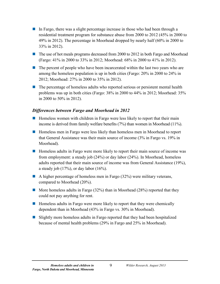- In Fargo, there was a slight percentage increase in those who had been through a residential treatment program for substance abuse from 2000 to 2012 (45% in 2000 to 49% in 2012). The percentage in Moorhead dropped by nearly half (60% in 2000 to 33% in 2012).
- The use of hot meals programs decreased from 2000 to 2012 in both Fargo and Moorhead (Fargo: 41% in 2000 to 33% in 2012; Moorhead: 68% in 2000 to 41% in 2012).
- $\blacksquare$  The percent of people who have been incarcerated within the last two years who are among the homeless population is up in both cities (Fargo: 20% in 2000 to 24% in 2012; Moorhead: 27% in 2000 to 35% in 2012).
- **The percentage of homeless adults who reported serious or persistent mental health** problems was up in both cities (Fargo: 38% in 2000 to 44% in 2012; Moorhead: 35% in 2000 to 50% in 2012).

#### *Differences between Fargo and Moorhead in 2012*

- $\blacksquare$  Homeless women with children in Fargo were less likely to report that their main income is derived from family welfare benefits (7%) than women in Moorhead (11%).
- Homeless men in Fargo were less likely than homeless men in Moorhead to report that General Assistance was their main source of income (3% in Fargo vs. 19% in Moorhead).
- Homeless adults in Fargo were more likely to report their main source of income was from employment: a steady job (24%) or day labor (24%). In Moorhead, homeless adults reported that their main source of income was from General Assistance (19%), a steady job  $(17\%)$ , or day labor  $(16\%)$ .
- A higher percentage of homeless men in Fargo  $(32%)$  were military veterans, compared to Moorhead (20%).
- **More homeless adults in Fargo (32%) than in Moorhead (28%) reported that they** could not pay anything for rent.
- **Homeless adults in Fargo were more likely to report that they were chemically** dependent than in Moorhead (43% in Fargo vs. 30% in Moorhead).
- Slightly more homeless adults in Fargo reported that they had been hospitalized because of mental health problems (29% in Fargo and 25% in Moorhead).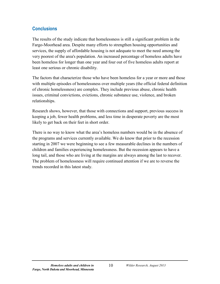#### **Conclusions**

The results of the study indicate that homelessness is still a significant problem in the Fargo-Moorhead area. Despite many efforts to strengthen housing opportunities and services, the supply of affordable housing is not adequate to meet the need among the very poorest of the area's population. An increased percentage of homeless adults have been homeless for longer than one year and four out of five homeless adults report at least one serious or chronic disability.

The factors that characterize those who have been homeless for a year or more and those with multiple episodes of homelessness over multiple years (the official federal definition of chronic homelessness) are complex. They include previous abuse, chronic health issues, criminal convictions, evictions, chronic substance use, violence, and broken relationships.

Research shows, however, that those with connections and support, previous success in keeping a job, fewer health problems, and less time in desperate poverty are the most likely to get back on their feet in short order.

There is no way to know what the area's homeless numbers would be in the absence of the programs and services currently available. We do know that prior to the recession starting in 2007 we were beginning to see a few measurable declines in the numbers of children and families experiencing homelessness. But the recession appears to have a long tail, and those who are living at the margins are always among the last to recover. The problem of homelessness will require continued attention if we are to reverse the trends recorded in this latest study.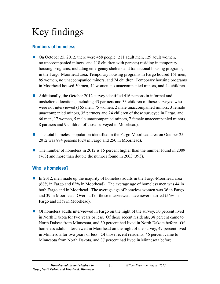# <span id="page-20-0"></span>Key findings

### <span id="page-20-1"></span>**Numbers of homeless**

- On October 25, 2012, there were 458 people (211 adult men, 129 adult women, no unaccompanied minors, and 118 children with parents) residing in temporary housing programs, including emergency shelters and transitional housing programs, in the Fargo-Moorhead area. Temporary housing programs in Fargo housed 161 men, 85 women, no unaccompanied minors, and 74 children. Temporary housing programs in Moorhead housed 50 men, 44 women, no unaccompanied minors, and 44 children.
- Additionally, the October 2012 survey identified 416 persons in informal and unsheltered locations, including 43 partners and 33 children of those surveyed who were not interviewed (165 men, 75 women, 2 male unaccompanied minors, 3 female unaccompanied minors, 35 partners and 24 children of those surveyed in Fargo, and 66 men, 17 women, 5 male unaccompanied minors, 7 female unaccompanied minors, 8 partners and 9 children of those surveyed in Moorhead).
- $\blacksquare$  The total homeless population identified in the Fargo-Moorhead area on October 25, 2012 was 874 persons (624 in Fargo and 250 in Moorhead).
- The number of homeless in 2012 is 15 percent higher than the number found in 2009 (763) and more than double the number found in 2003 (393).

### <span id="page-20-2"></span>**Who is homeless?**

- In 2012, men made up the majority of homeless adults in the Fargo-Moorhead area (68% in Fargo and 62% in Moorhead). The average age of homeless men was 44 in both Fargo and in Moorhead. The average age of homeless women was 36 in Fargo and 39 in Moorhead. Over half of those interviewed have never married (56% in Fargo and 53% in Moorhead).
- Of homeless adults interviewed in Fargo on the night of the survey, 50 percent lived in North Dakota for two years or less. Of those recent residents, 38 percent came to North Dakota from Minnesota, and 30 percent had lived in North Dakota before. Of homeless adults interviewed in Moorhead on the night of the survey, 47 percent lived in Minnesota for two years or less. Of those recent residents, 46 percent came to Minnesota from North Dakota, and 37 percent had lived in Minnesota before.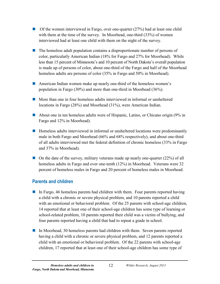- $\Box$  Of the women interviewed in Fargo, over one-quarter (27%) had at least one child with them at the time of the survey. In Moorhead, one-third (33%) of women interviewed had at least one child with them on the night of the survey.
- $\blacksquare$  The homeless adult population contains a disproportionate number of persons of color, particularly American Indian (18% for Fargo and 27% for Moorhead). While less than 15 percent of Minnesota's and 10 percent of North Dakota's overall population is made up of persons of color, about one-third of the Fargo and half of the Moorhead homeless adults are persons of color (35% in Fargo and 50% in Moorhead).
- American Indian women make up nearly one-third of the homeless women's population in Fargo (30%) and more than one-third in Moorhead (36%).
- More than one in four homeless adults interviewed in informal or unsheltered locations in Fargo (28%) and Moorhead (31%), were American Indian.
- About one in ten homeless adults were of Hispanic, Latino, or Chicano origin (9% in Fargo and 12% in Moorhead).
- **Homeless adults interviewed in informal or unsheltered locations were predominantly** male in both Fargo and Moorhead (66% and 68% respectively), and about one-third of all adults interviewed met the federal definition of chronic homeless (33% in Fargo and 37% in Moorhead).
- $\Box$  On the date of the survey, military veterans made up nearly one-quarter (22%) of all homeless adults in Fargo and over one-tenth (12%) in Moorhead. Veterans were 32 percent of homeless males in Fargo and 20 percent of homeless males in Moorhead.

### <span id="page-21-0"></span>**Parents and children**

- In Fargo, 46 homeless parents had children with them. Four parents reported having a child with a chronic or severe physical problem, and 10 parents reported a child with an emotional or behavioral problem. Of the 25 parents with school-age children, 14 reported that at least one of their school-age children has some type of learning or school-related problem, 10 parents reported their child was a victim of bullying, and four parents reported having a child that had to repeat a grade in school.
- In Moorhead, 30 homeless parents had children with them. Seven parents reported having a child with a chronic or severe physical problem, and 12 parents reported a child with an emotional or behavioral problem. Of the 22 parents with school-age children, 17 reported that at least one of their school-age children has some type of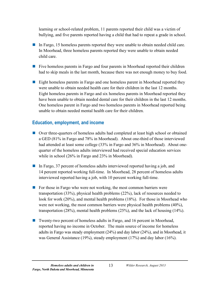learning or school-related problem, 11 parents reported their child was a victim of bullying, and five parents reported having a child that had to repeat a grade in school.

- In Fargo, 15 homeless parents reported they were unable to obtain needed child care. In Moorhead, three homeless parents reported they were unable to obtain needed child care.
- **Five homeless parents in Fargo and four parents in Moorhead reported their children** had to skip meals in the last month, because there was not enough money to buy food.
- **Eight homeless parents in Fargo and one homeless parent in Moorhead reported they** were unable to obtain needed health care for their children in the last 12 months. Eight homeless parents in Fargo and six homeless parents in Moorhead reported they have been unable to obtain needed dental care for their children in the last 12 months. One homeless parent in Fargo and two homeless parents in Moorhead reported being unable to obtain needed mental health care for their children.

#### <span id="page-22-0"></span>**Education, employment, and income**

- Over three-quarters of homeless adults had completed at least high school or obtained a GED (81% in Fargo and 78% in Moorhead). About one-third of those interviewed had attended at least some college (33% in Fargo and 36% in Moorhead). About onequarter of the homeless adults interviewed had received special education services while in school (26% in Fargo and 23% in Moorhead).
- In Fargo, 37 percent of homeless adults interviewed reported having a job, and 14 percent reported working full-time. In Moorhead, 28 percent of homeless adults interviewed reported having a job, with 10 percent working full-time.
- For those in Fargo who were not working, the most common barriers were transportation (33%), physical health problems (22%), lack of resources needed to look for work (20%), and mental health problems (18%). For those in Moorhead who were not working, the most common barriers were physical health problems (40%), transportation (28%), mental health problems (25%), and the lack of housing (14%).
- Twenty-two percent of homeless adults in Fargo, and 16 percent in Moorhead, reported having no income in October. The main source of income for homeless adults in Fargo was steady employment (24%) and day labor (24%), and in Moorhead, it was General Assistance (19%), steady employment (17%) and day labor (16%).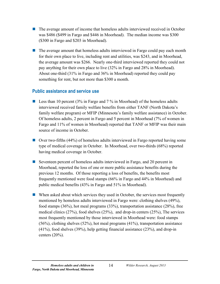- **The average amount of income that homeless adults interviewed received in October** was \$486 (\$499 in Fargo and \$446 in Moorhead). The median income was \$300 (\$300 in Fargo and \$203 in Moorhead).
- $\blacksquare$  The average amount that homeless adults interviewed in Fargo could pay each month for their own place to live, including rent and utilities, was \$243, and in Moorhead, the average amount was \$266. Nearly one-third interviewed reported they could not pay anything for their own place to live (32% in Fargo and 28% in Moorhead). About one-third (31% in Fargo and 36% in Moorhead) reported they could pay something for rent, but not more than \$300 a month.

#### <span id="page-23-0"></span>**Public assistance and service use**

- **Less than 10 percent (3% in Fargo and 7% in Moorhead) of the homeless adults** interviewed received family welfare benefits from either TANF (North Dakota's family welfare program) or MFIP (Minnesota's family welfare assistance) in October. Of homeless adults, 2 percent in Fargo and 5 percent in Moorhead (7% of women in Fargo and 11% of women in Moorhead) reported that TANF or MFIP was their main source of income in October.
- Over two-fifths (44%) of homeless adults interviewed in Fargo reported having some type of medical coverage in October. In Moorhead, over two-thirds (68%) reported having medical coverage in October.
- Seventeen percent of homeless adults interviewed in Fargo, and 20 percent in Moorhead, reported the loss of one or more public assistance benefits during the previous 12 months. Of those reporting a loss of benefits, the benefits most frequently mentioned were food stamps (66% in Fargo and 44% in Moorhead) and public medical benefits (43% in Fargo and 51% in Moorhead).
- When asked about which services they used in October, the services most frequently mentioned by homeless adults interviewed in Fargo were: clothing shelves (49%), food stamps (36%), hot meal programs (33%), transportation assistance (28%), free medical clinics (27%), food shelves (25%), and drop-in centers (25%), The services most frequently mentioned by those interviewed in Moorhead were: food stamps (56%), clothing shelves (52%), hot meal programs (41%), transportation assistance (41%), food shelves (39%), help getting financial assistance (23%), and drop-in centers (20%).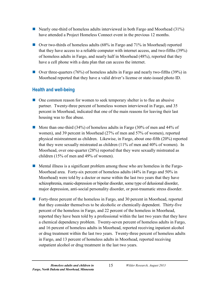- Nearly one-third of homeless adults interviewed in both Fargo and Moorhead  $(31\%)$ have attended a Project Homeless Connect event in the previous 12 months.
- Over two-thirds of homeless adults (68% in Fargo and 71% in Moorhead) reported that they have access to a reliable computer with internet access, and two-fifths (39%) of homeless adults in Fargo, and nearly half in Moorhead (48%), reported that they have a cell phone with a data plan that can access the internet.
- **Over three-quarters (76%) of homeless adults in Fargo and nearly two-fifths (39%) in** Moorhead reported that they have a valid driver's license or state-issued photo ID.

### <span id="page-24-0"></span>**Health and well-being**

- **One common reason for women to seek temporary shelter is to flee an abusive** partner. Twenty-three percent of homeless women interviewed in Fargo, and 35 percent in Moorhead, indicated that one of the main reasons for leaving their last housing was to flee abuse.
- More than one-third (34%) of homeless adults in Fargo (30% of men and 44% of women), and 39 percent in Moorhead (27% of men and 57% of women), reported physical mistreatment as children. Likewise, in Fargo, about one-fifth (20%) reported that they were sexually mistreated as children (11% of men and 40% of women). In Moorhead, over one-quarter (28%) reported that they were sexually mistreated as children (15% of men and 49% of women).
- Mental illness is a significant problem among those who are homeless in the Fargo-Moorhead area. Forty-six percent of homeless adults (44% in Fargo and 50% in Moorhead) were told by a doctor or nurse within the last two years that they have schizophrenia, manic-depression or bipolar disorder, some type of delusional disorder, major depression, anti-social personality disorder, or post-traumatic stress disorder.
- Forty-three percent of the homeless in Fargo, and 30 percent in Moorhead, reported that they consider themselves to be alcoholic or chemically dependent. Thirty-five percent of the homeless in Fargo, and 22 percent of the homeless in Moorhead, reported they have been told by a professional within the last two years that they have a chemical dependency problem. Twenty-seven percent of homeless adults in Fargo, and 16 percent of homeless adults in Moorhead, reported receiving inpatient alcohol or drug treatment within the last two years. Twenty-three percent of homeless adults in Fargo, and 13 percent of homeless adults in Moorhead, reported receiving outpatient alcohol or drug treatment in the last two years.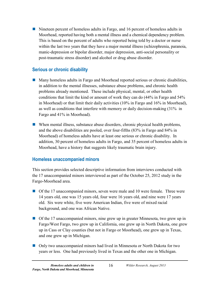Nineteen percent of homeless adults in Fargo, and 16 percent of homeless adults in Moorhead, reported having both a mental illness and a chemical dependency problem. This is based on the percent of adults who reported being told by a doctor or nurse within the last two years that they have a major mental illness (schizophrenia, paranoia, manic-depression or bipolar disorder, major depression, anti-social personality or post-traumatic stress disorder) and alcohol or drug abuse disorder.

### <span id="page-25-0"></span>**Serious or chronic disability**

- **Many homeless adults in Fargo and Moorhead reported serious or chronic disabilities,** in addition to the mental illnesses, substance abuse problems, and chronic health problems already mentioned. These include physical, mental, or other health conditions that limit the kind or amount of work they can do (44% in Fargo and 54% in Moorhead) or that limit their daily activities (10% in Fargo and 16% in Moorhead), as well as conditions that interfere with memory or daily decision-making (31% in Fargo and 41% in Moorhead).
- When mental illness, substance abuse disorders, chronic physical health problems, and the above disabilities are pooled, over four-fifths (83% in Fargo and 84% in Moorhead) of homeless adults have at least one serious or chronic disability. In addition, 30 percent of homeless adults in Fargo, and 35 percent of homeless adults in Moorhead, have a history that suggests likely traumatic brain injury.

#### <span id="page-25-1"></span>**Homeless unaccompanied minors**

This section provides selected descriptive information from interviews conducted with the 17 unaccompanied minors interviewed as part of the October 25, 2012 study in the Fargo-Moorhead area.

- Of the 17 unaccompanied minors, seven were male and 10 were female. Three were 14 years old, one was 15 years old, four were 16 years old, and nine were 17 years old. Six were white, five were American Indian, five were of mixed racial background, and one was African Native.
- Of the 17 unaccompanied minors, nine grew up in greater Minnesota, two grew up in Fargo/West Fargo, two grew up in California, one grew up in North Dakota, one grew up in Cass or Clay counties (but not in Fargo or Moorhead), one grew up in Texas, and one grew up in Michigan.
- Only two unaccompanied minors had lived in Minnesota or North Dakota for two years or less. One had previously lived in Texas and the other one in Michigan.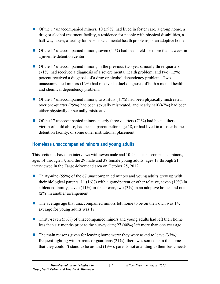- $\Box$  Of the 17 unaccompanied minors, 10 (59%) had lived in foster care, a group home, a drug or alcohol treatment facility, a residence for people with physical disabilities, a half-way house, a facility for persons with mental health problems, or an adoptive home.
- $\Box$  Of the 17 unaccompanied minors, seven (41%) had been held for more than a week in a juvenile detention center.
- $\Box$  Of the 17 unaccompanied minors, in the previous two years, nearly three-quarters (71%) had received a diagnosis of a severe mental health problem, and two (12%) percent received a diagnosis of a drug or alcohol dependency problem. Two unaccompanied minors (12%) had received a duel diagnosis of both a mental health and chemical dependency problem.
- $\Box$  Of the 17 unaccompanied minors, two-fifths (41%) had been physically mistreated, over one-quarter (29%) had been sexually mistreated, and nearly half (47%) had been either physically or sexually mistreated.
- Of the 17 unaccompanied minors, nearly three-quarters (71%) had been either a victim of child abuse, had been a parent before age 18, or had lived in a foster home, detention facility, or some other institutional placement.

### <span id="page-26-0"></span>**Homeless unaccompanied minors and young adults**

This section is based on interviews with seven male and 10 female unaccompanied minors, ages 14 through 17, and the 29 male and 38 female young adults, ages 18 through 21 interviewed in the Fargo-Moorhead area on October 25, 2012.

- **Thirty-nine (59%) of the 67 unaccompanied minors and young adults grew up with** their biological parents, 11 (16%) with a grandparent or other relative, seven (10%) in a blended family, seven (11%) in foster care, two (3%) in an adoptive home, and one (2%) in another arrangement.
- $\blacksquare$  The average age that unaccompanied minors left home to be on their own was 14; average for young adults was 17.
- **Thirty-seven (56%) of unaccompanied minors and young adults had left their home** less than six months prior to the survey date; 27 (40%) left more than one year ago.
- The main reasons given for leaving home were: they were asked to leave  $(33\%)$ ; frequent fighting with parents or guardians (21%); there was someone in the home that they couldn't stand to be around (19%); parents not attending to their basic needs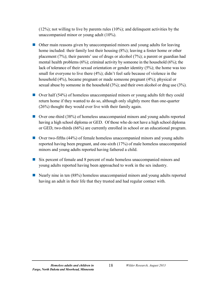(12%); not willing to live by parents rules (10%); and delinquent activities by the unaccompanied minor or young adult (10%).

- Other main reasons given by unaccompanied minors and young adults for leaving home included: their family lost their housing (8%); leaving a foster home or other placement (7%); their parents' use of drugs or alcohol (7%); a parent or guardian had mental health problems  $(6\%)$ ; criminal activity by someone in the household  $(6\%)$ ; the lack of tolerance of their sexual orientation or gender identity (5%); the home was too small for everyone to live there (4%); didn't feel safe because of violence in the household (4%), became pregnant or made someone pregnant (4%); physical or sexual abuse by someone in the household (3%); and their own alcohol or drug use (3%).
- Over half (54%) of homeless unaccompanied minors or young adults felt they could return home if they wanted to do so, although only slightly more than one-quarter (26%) thought they would ever live with their family again.
- Over one-third (38%) of homeless unaccompanied minors and young adults reported having a high school diploma or GED. Of those who do not have a high school diploma or GED, two-thirds (66%) are currently enrolled in school or an educational program.
- Over two-fifths (44%) of female homeless unaccompanied minors and young adults reported having been pregnant, and one-sixth (17%) of male homeless unaccompanied minors and young adults reported having fathered a child.
- Six percent of female and 8 percent of male homeless unaccompanied minors and young adults reported having been approached to work in the sex industry.
- Nearly nine in ten (88%) homeless unaccompanied minors and young adults reported having an adult in their life that they trusted and had regular contact with.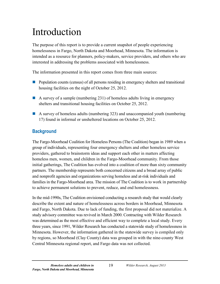# <span id="page-28-0"></span>Introduction

The purpose of this report is to provide a current snapshot of people experiencing homelessness in Fargo, North Dakota and Moorhead, Minnesota. The information is intended as a resource for planners, policy-makers, service providers, and others who are interested in addressing the problems associated with homelessness.

The information presented in this report comes from three main sources:

- **Population counts (census) of all persons residing in emergency shelters and transitional** housing facilities on the night of October 25, 2012.
- A survey of a sample (numbering 231) of homeless adults living in emergency shelters and transitional housing facilities on October 25, 2012.
- A survey of homeless adults (numbering 323) and unaccompanied youth (numbering 17) found in informal or unsheltered locations on October 25, 2012.

### <span id="page-28-1"></span>**Background**

The Fargo-Moorhead Coalition for Homeless Persons (The Coalition) began in 1989 when a group of individuals, representing four emergency shelters and other homeless service providers, gathered to brainstorm ideas and support each other in matters affecting homeless men, women, and children in the Fargo-Moorhead community. From those initial gatherings, The Coalition has evolved into a coalition of more than sixty community partners. The membership represents both concerned citizens and a broad array of public and nonprofit agencies and organizations serving homeless and at-risk individuals and families in the Fargo-Moorhead area. The mission of The Coalition is to work in partnership to achieve permanent solutions to prevent, reduce, and end homelessness.

In the mid-1990s, The Coalition envisioned conducting a research study that would clearly describe the extent and nature of homelessness across borders in Moorhead, Minnesota and Fargo, North Dakota. Due to lack of funding, the first proposal did not materialize. A study advisory committee was revived in March 2000. Contracting with Wilder Research was determined as the most effective and efficient way to complete a local study. Every three years, since 1991, Wilder Research has conducted a statewide study of homelessness in Minnesota. However, the information gathered in the statewide survey is compiled only by regions, so Moorhead (Clay County) data was grouped in with the nine-county West Central Minnesota regional report, and Fargo data was not collected.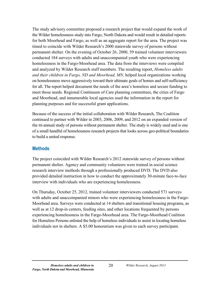The study advisory committee proposed a research project that would expand the work of the Wilder homelessness study into Fargo, North Dakota and would result in detailed reports for both Moorhead and Fargo, as well as an aggregate report for the area. The project was timed to coincide with Wilder Research's 2000 statewide survey of persons without permanent shelter. On the evening of October 26, 2000, 59 trained volunteer interviewers conducted 184 surveys with adults and unaccompanied youth who were experiencing homelessness in the Fargo-Moorhead area. The data from the interviews were compiled and analyzed by Wilder Research staff members. The resulting report, *Homeless adults and their children in Fargo, ND and Moorhead, MN,* helped local organizations working on homelessness move aggressively toward their ultimate goals of homes and self-sufficiency for all. The report helped document the needs of the area's homeless and secure funding to meet those needs. Regional Continuum of Care planning committees, the cities of Fargo and Moorhead, and innumerable local agencies used the information in the report for planning purposes and for successful grant applications.

Because of the success of the initial collaboration with Wilder Research, The Coalition continued to partner with Wilder in 2003, 2006, 2009, and 2012 on an expanded version of the tri-annual study of persons without permanent shelter. The study is widely used and is one of a small handful of homelessness research projects that looks across geo-political boundaries to build a united response.

#### <span id="page-29-0"></span>**Methods**

The project coincided with Wilder Research's 2012 statewide survey of persons without permanent shelter. Agency and community volunteers were trained in social science research interview methods through a professionally produced DVD. The DVD also provided detailed instruction in how to conduct the approximately 30-minute face-to-face interview with individuals who are experiencing homelessness.

On Thursday, October 25, 2012, trained volunteer interviewers conducted 571 surveys with adults and unaccompanied minors who were experiencing homelessness in the Fargo-Moorhead area. Surveys were conducted at 14 shelters and transitional housing programs, as well as at 12 drop-in centers, feeding sites, and other locations frequented by persons experiencing homelessness in the Fargo-Moorhead area. The Fargo-Moorhead Coalition for Homeless Persons enlisted the help of homeless individuals to assist in locating homeless individuals not in shelters. A \$5.00 honorarium was given to each survey participant.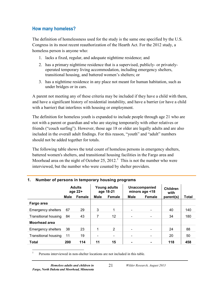#### <span id="page-30-0"></span>**How many homeless?**

The definition of homelessness used for the study is the same one specified by the U.S. Congress in its most recent reauthorization of the Hearth Act. For the 2012 study, a homeless person is anyone who:

- 1. lacks a fixed, regular, and adequate nighttime residence; and
- 2. has a primary nighttime residence that is a supervised, publicly- or privatelyoperated temporary living accommodation, including emergency shelters, transitional housing, and battered women's shelters; or
- 3. has a nighttime residence in any place not meant for human habitation, such as under bridges or in cars.

A parent not meeting any of these criteria may be included if they have a child with them, and have a significant history of residential instability, and have a barrier (or have a child with a barrier) that interferes with housing or employment.

The definition for homeless youth is expanded to include people through age 21 who are not with a parent or guardian and who are staying temporarily with other relatives or friends ("couch surfing"). However, those age 18 or older are legally adults and are also included in the overall adult findings. For this reason, "youth" and "adult" numbers should not be added together for totals.

The following table shows the total count of homeless persons in emergency shelters, battered women's shelters, and transitional housing facilities in the Fargo area and Moorhead area on the night of October 25,  $2012<sup>1</sup>$  $2012<sup>1</sup>$  $2012<sup>1</sup>$ . This is not the number who were interviewed, but the number who were counted by shelter providers.

|                             | <b>Adults</b><br>age 22+ |        | <b>Young adults</b><br>age 18-21 |                          |                | Unaccompanied<br>minors age <18 | <b>Children</b><br>with |       |  |
|-----------------------------|--------------------------|--------|----------------------------------|--------------------------|----------------|---------------------------------|-------------------------|-------|--|
|                             | Male                     | Female | Male                             | Female                   | Male           | Female                          | parent(s)               | Total |  |
| Fargo area                  |                          |        |                                  |                          |                |                                 |                         |       |  |
| <b>Emergency shelters</b>   | 67                       | 29     | 3                                | 1                        |                | $\overline{\phantom{a}}$        | 40                      | 140   |  |
| Transitional housing        | 84                       | 43     |                                  | 12                       |                | $\overline{\phantom{a}}$        | 34                      | 180   |  |
| <b>Moorhead area</b>        |                          |        |                                  |                          |                |                                 |                         |       |  |
| <b>Emergency shelters</b>   | 38                       | 23     |                                  | 2                        |                |                                 | 24                      | 88    |  |
| <b>Transitional housing</b> | 11                       | 19     |                                  | $\overline{\phantom{a}}$ |                | $\overline{\phantom{a}}$        | 20                      | 50    |  |
| <b>Total</b>                | 200                      | 114    | 11                               | 15                       | $\blacksquare$ |                                 | 118                     | 458   |  |

#### <span id="page-30-1"></span>**1. Number of persons in temporary housing programs**

<span id="page-30-2"></span> <sup>1</sup> Persons interviewed in non-shelter locations are not included in this table.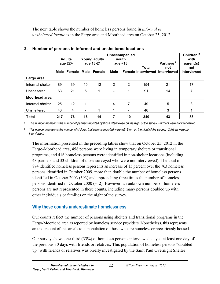The next table shows the number of homeless persons found in *informal or unsheltered locations* in the Fargo area and Moorhead area on October 25, 2012.

|                  |     | <b>Adults</b><br>age 22+ |      | Young adults<br>age 18-21 |                          | Unaccompanied<br>youth<br>age $<$ 18 | <b>Total</b> | а<br><b>Partners</b><br>not    | Children <sup>b</sup><br>with<br>parent(s)<br>not |
|------------------|-----|--------------------------|------|---------------------------|--------------------------|--------------------------------------|--------------|--------------------------------|---------------------------------------------------|
|                  |     | Male Female              | Male | Female                    | Male                     |                                      |              | Female interviewed interviewed | interviewed                                       |
| Fargo area       |     |                          |      |                           |                          |                                      |              |                                |                                                   |
| Informal shelter | 89  | 39                       | 10   | 12                        | 2                        | 2                                    | 154          | 21                             | 17                                                |
| Unsheltered      | 63  | 21                       | 5    | 1                         | $\overline{\phantom{a}}$ | 1                                    | 91           | 14                             | 7                                                 |
| Moorhead area    |     |                          |      |                           |                          |                                      |              |                                |                                                   |
| Informal shelter | 25  | 12                       | 1    | $\overline{\phantom{a}}$  | 4                        | 7                                    | 49           | 5                              | 8                                                 |
| Unsheltered      | 40  | 4                        |      | 1                         | 1                        | $\overline{\phantom{a}}$             | 46           | 3                              | 1                                                 |
| <b>Total</b>     | 217 | 76                       | 16   | 14                        | 7                        | 10                                   | 340          | 43                             | 33                                                |

#### <span id="page-31-1"></span>**2. Number of persons in informal and unsheltered locations**

*<sup>a</sup> This number represents the number of partners reported by those interviewed on the night of the survey. Partners were not interviewed.* 

*<sup>b</sup> This number represents the number of children that parents reported were with them on the night of the survey. Children were not interviewed.* 

The information presented in the preceding tables show that on October 25, 2012 in the Fargo-Moorhead area, 458 persons were living in temporary shelters or transitional programs, and 416 homeless persons were identified in non-shelter locations (including 43 partners and 33 children of those surveyed who were not interviewed). The total of 874 identified homeless persons represents an increase of 15 percent over the 763 homeless persons identified in October 2009, more than double the number of homeless persons identified in October 2003 (393) and approaching three times the number of homeless persons identified in October 2000 (312). However, an unknown number of homeless persons are not represented in these counts, including many persons doubled up with other individuals or families on the night of the survey.

### <span id="page-31-0"></span>**Why these counts underestimate homelessness**

Our counts reflect the number of persons using shelters and transitional programs in the Fargo-Moorhead area as reported by homeless service providers. Nonetheless, this represents an undercount of this area's total population of those who are homeless or precariously housed.

Our survey shows one-third (33%) of homeless persons interviewed stayed at least one day of the previous 30 days with friends or relatives. This population of homeless persons "doubledup" with friends or relatives was briefly investigated by the Saint Paul Overnight Shelter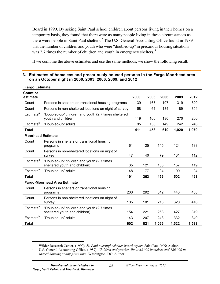Board in 1990. By asking Saint Paul school children about persons living in their homes on a temporary basis, they found that there were as many people living in these circumstances as there were people in Saint Paul shelters.<sup>[2](#page-32-1)</sup> The U.S. General Accounting Office found in 1989 that the number of children and youth who were "doubled-up" in precarious housing situations was 2.7 times the number of children and youth in emergency shelters.<sup>[3](#page-32-2)</sup>

If we combine the above estimates and use the same methods, we show the following result.

#### <span id="page-32-0"></span>**3. Estimates of homeless and precariously housed persons in the Fargo-Moorhead area on an October night in 2000, 2003, 2006, 2009, and 2012**

| <b>Fargo Estimate</b>    |                                                                             |     |      |      |       |       |       |
|--------------------------|-----------------------------------------------------------------------------|-----|------|------|-------|-------|-------|
| Count or<br>estimate     |                                                                             |     | 2000 | 2003 | 2006  | 2009  | 2012  |
| Count                    | Persons in shelters or transitional housing programs                        |     | 139  | 167  | 197   | 319   | 320   |
| Count                    | Persons in non-sheltered locations on night of survey                       |     | 58   | 61   | 134   | 189   | 304   |
| Estimate <sup>a</sup>    | "Doubled-up" children and youth (2.7 times sheltered<br>youth and children) |     | 119  | 100  | 130   | 270   | 200   |
| Estimate <sup>b</sup>    | "Doubled-up" adults                                                         |     | 95   | 130  | 149   | 242   | 246   |
| <b>Total</b>             |                                                                             |     | 411  | 458  | 610   | 1,020 | 1,070 |
| <b>Moorhead Estimate</b> |                                                                             |     |      |      |       |       |       |
| Count                    | Persons in shelters or transitional housing<br>programs                     | 61  |      | 125  | 145   | 124   | 138   |
| Count                    | Persons in non-sheltered locations on night of<br>survey                    | 47  |      | 40   | 79    | 131   | 112   |
| Estimate <sup>a</sup>    | "Doubled-up" children and youth (2.7 times<br>sheltered youth and children) | 35  |      | 121  | 138   | 157   | 119   |
| Estimate <sup>b</sup>    | "Doubled-up" adults                                                         | 48  |      | 77   | 94    | 90    | 94    |
| <b>Total</b>             |                                                                             | 191 |      | 363  | 456   | 502   | 463   |
|                          | <b>Fargo-Moorhead Area Estimate</b>                                         |     |      |      |       |       |       |
| Count                    | Persons in shelters or transitional housing<br>programs                     | 200 |      | 292  | 342   | 443   | 458   |
| Count                    | Persons in non-sheltered locations on night of<br>survey                    | 105 |      | 101  | 213   | 320   | 416   |
| Estimate <sup>a</sup>    | "Doubled-up" children and youth (2.7 times<br>sheltered youth and children) | 154 |      | 221  | 268   | 427   | 319   |
| Estimate <sup>b</sup>    | "Doubled-up" adults                                                         | 143 |      | 207  | 243   | 332   | 340   |
| <b>Total</b>             |                                                                             | 602 |      | 821  | 1,066 | 1,522 | 1,533 |

<span id="page-32-2"></span><span id="page-32-1"></span>

<sup>&</sup>lt;sup>2</sup> Wilder Research Center. (1990). *St. Paul overnight shelter board report*. Saint Paul, MN: Author.<br><sup>3</sup> U.S. General Accounting Office. (1989). *Children and youths: About 68,000 homeless and 186,000 in shared housing at any given time.* Washington, DC: Author.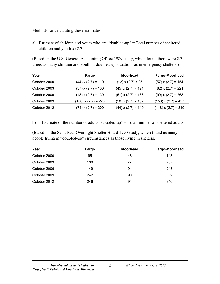Methods for calculating these estimates:

a) Estimate of children and youth who are "doubled-up" = Total number of sheltered children and youth x (2.7)

(Based on the U.S. General Accounting Office 1989 study, which found there were 2.7 times as many children and youth in doubled-up situations as in emergency shelters.)

| Year         | Fargo                     | <b>Moorhead</b>           | Fargo-Moorhead             |
|--------------|---------------------------|---------------------------|----------------------------|
| October 2000 | $(44)$ x $(2.7)$ = 119    | $(13) \times (2.7) = 35$  | $(57)$ x $(2.7)$ = 154     |
| October 2003 | $(37) \times (2.7) = 100$ | $(45)$ x $(2.7)$ = 121    | $(82)$ x $(2.7)$ = 221     |
| October 2006 | $(48)$ x $(2.7)$ = 130    | $(51) \times (2.7) = 138$ | $(99)$ x $(2.7)$ = 268     |
| October 2009 | $(100)$ x $(2.7)$ = 270   | $(58)$ x $(2.7)$ = 157    | $(158) \times (2.7) = 427$ |
| October 2012 | $(74)$ x $(2.7)$ = 200    | $(44)$ x $(2.7)$ = 119    | $(118) \times (2.7) = 319$ |

b) Estimate of the number of adults "doubled-up" = Total number of sheltered adults

(Based on the Saint Paul Overnight Shelter Board 1990 study, which found as many people living in "doubled-up" circumstances as those living in shelters.)

| Year         | Fargo | <b>Moorhead</b> | <b>Fargo-Moorhead</b> |
|--------------|-------|-----------------|-----------------------|
| October 2000 | 95    | 48              | 143                   |
| October 2003 | 130   | 77              | 207                   |
| October 2006 | 149   | 94              | 243                   |
| October 2009 | 242   | 90              | 332                   |
| October 2012 | 246   | 94              | 340                   |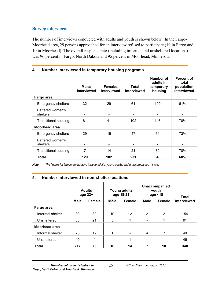#### <span id="page-34-0"></span>**Survey interviews**

The number of interviews conducted with adults and youth is shown below. In the Fargo-Moorhead area, 29 persons approached for an interview refused to participate (19 in Fargo and 10 in Moorhead). The overall response rate (including informal and unsheltered locations) was 96 percent in Fargo, North Dakota and 95 percent in Moorhead, Minnesota.

|                              | <b>Males</b><br>interviewed | <b>Females</b><br>interviewed | Total<br>interviewed     | Number of<br>adults in<br>temporary<br>housing | Percent of<br>total<br>population<br>interviewed |
|------------------------------|-----------------------------|-------------------------------|--------------------------|------------------------------------------------|--------------------------------------------------|
| Fargo area                   |                             |                               |                          |                                                |                                                  |
| <b>Emergency shelters</b>    | 32                          | 29                            | 61                       | 100                                            | 61%                                              |
| Battered women's<br>shelters |                             | $\overline{\phantom{a}}$      |                          | $\overline{\phantom{a}}$                       |                                                  |
| <b>Transitional housing</b>  | 61                          | 41                            | 102                      | 146                                            | 70%                                              |
| Moorhead area                |                             |                               |                          |                                                |                                                  |
| <b>Emergency shelters</b>    | 29                          | 19                            | 47                       | 64                                             | 73%                                              |
| Battered women's<br>shelters |                             | $\overline{\phantom{a}}$      | $\overline{\phantom{a}}$ | $\overline{\phantom{a}}$                       |                                                  |
| <b>Transitional housing</b>  | 7                           | 14                            | 21                       | 30                                             | 70%                                              |
| Total                        | 129                         | 102                           | 231                      | 340                                            | 68%                                              |

#### <span id="page-34-1"></span>**4. Number interviewed in temporary housing programs**

<span id="page-34-2"></span>*Note: The figures for temporary housing include adults, young adults, and unaccompanied minors.* 

#### **5. Number interviewed in non-shelter locations**

|                  | <b>Adults</b><br>age 22+ |               | Young adults<br>age 18-21 |                          |                | Unaccompanied<br>youth<br>age $<$ 18 | Total       |  |
|------------------|--------------------------|---------------|---------------------------|--------------------------|----------------|--------------------------------------|-------------|--|
|                  | <b>Male</b>              | <b>Female</b> | <b>Male</b>               | <b>Female</b>            | <b>Male</b>    | Female                               | interviewed |  |
| Fargo area       |                          |               |                           |                          |                |                                      |             |  |
| Informal shelter | 89                       | 39            | 10                        | 12                       | $\overline{2}$ | 2                                    | 154         |  |
| Unsheltered      | 63                       | 21            | 5                         | 1                        |                | 1                                    | 91          |  |
| Moorhead area    |                          |               |                           |                          |                |                                      |             |  |
| Informal shelter | 25                       | 12            | 1                         | $\overline{\phantom{a}}$ | 4              | 7                                    | 49          |  |
| Unsheltered      | 40                       | 4             | $\overline{\phantom{0}}$  | 1                        | 1              | -                                    | 46          |  |
| <b>Total</b>     | 217                      | 76            | 16                        | 14                       | 7              | 10                                   | 340         |  |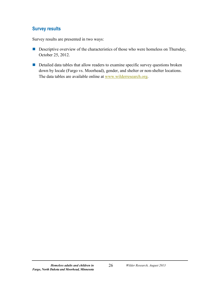#### <span id="page-35-0"></span>**Survey results**

Survey results are presented in two ways:

- Descriptive overview of the characteristics of those who were homeless on Thursday, October 25, 2012.
- Detailed data tables that allow readers to examine specific survey questions broken down by locale (Fargo vs. Moorhead), gender, and shelter or non-shelter locations. The data tables are available online at [www.wilderresearch.org.](http://www.wilderresearch.org/)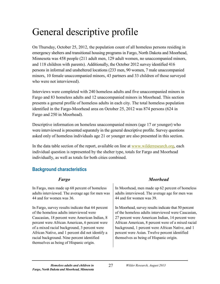# General descriptive profile

On Thursday, October 25, 2012, the population count of all homeless persons residing in emergency shelters and transitional housing programs in Fargo, North Dakota and Moorhead, Minnesota was 458 people (211 adult men, 129 adult women, no unaccompanied minors, and 118 children with parents). Additionally, the October 2012 survey identified 416 persons in informal and unsheltered locations (233 men, 90 women, 7 male unaccompanied minors, 10 female unaccompanied minors, 43 partners and 33 children of those surveyed who were not interviewed).

Interviews were completed with 240 homeless adults and five unaccompanied minors in Fargo and 83 homeless adults and 12 unaccompanied minors in Moorhead. This section presents a general profile of homeless adults in each city. The total homeless population identified in the Fargo-Moorhead area on October 25, 2012 was 874 persons (624 in Fargo and 250 in Moorhead).

Descriptive information on homeless unaccompanied minors (age 17 or younger) who were interviewed is presented separately in the general descriptive profile. Survey questions asked only of homeless individuals age 21 or younger are also presented in this section.

In the data table section of the report, available on line at [www.wilderresearch.org,](http://www.wilderresearch.org/) each individual question is represented by the shelter type, totals for Fargo and Moorhead individually, as well as totals for both cities combined.

# **Background characteristics**

In Fargo, men made up 68 percent of homeless adults interviewed. The average age for men was 44 and for women was 36.

In Fargo, survey results indicate that 64 percent of the homeless adults interviewed were Caucasian, 18 percent were American Indian, 8 percent were African American, 6 percent were of a mixed racial background, 3 percent were African Native, and 1 percent did not identify a racial background. Nine percent identified themselves as being of Hispanic origin.

# *Fargo Moorhead*

In Moorhead, men made up 62 percent of homeless adults interviewed. The average age for men was 44 and for women was 39.

In Moorhead, survey results indicate that 50 percent of the homeless adults interviewed were Caucasian, 27 percent were American Indian, 14 percent were African American, 8 percent were of a mixed racial background, 1 percent were African Native, and 1 percent were Asian. Twelve percent identified themselves as being of Hispanic origin.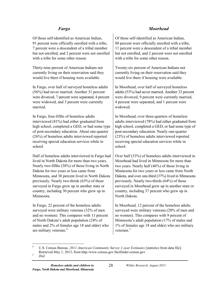Of those self-identified as American Indian, 91 percent were officially enrolled with a tribe, 7 percent were a descendent of a tribal member but not enrolled, and 2 percent were not enrolled with a tribe for some other reason.

Thirty-nine percent of American Indians not currently living on their reservation said they would live there if housing were available.

In Fargo, over half of surveyed homeless adults (56%) had never married. Another 31 percent were divorced, 7 percent were separated, 4 percent were widowed, and 3 percent were currently married.

In Fargo, four-fifths of homeless adults interviewed (81%) had either graduated from high school, completed a GED, or had some type of post-secondary education. About one-quarter (26%) of homeless adults interviewed reported receiving special education services while in school.

Half of homeless adults interviewed in Fargo had lived in North Dakota for more than two years. Nearly two-fifths (38%) of those living in North Dakota for two years or less came from Minnesota, and 30 percent lived in North Dakota previously. Nearly two-thirds (63%) of those surveyed in Fargo grew up in another state or country, including 30 percent who grew up in Minnesota.

In Fargo, 22 percent of the homeless adults surveyed were military veterans (32% of men and no women). This compares with 11 percent of North Dakota's adult population (24% of males and 2% of females age 18 and older) who are military veterans.<sup>[4](#page-37-0)</sup>

# *Fargo Moorhead*

Of those self-identified as American Indian, 88 percent were officially enrolled with a tribe, 11 percent were a descendent of a tribal member but not enrolled, and 2 percent were not enrolled with a tribe for some other reason.

Twenty-six percent of American Indians not currently living on their reservation said they would live there if housing were available.

In Moorhead, over half of surveyed homeless adults (53%) had never married. Another 33 percent were divorced, 9 percent were currently married, 4 percent were separated, and 1 percent were widowed.

In Moorhead, over three-quarters of homeless adults interviewed (78%) had either graduated from high school, completed a GED, or had some type of post-secondary education. Nearly one-quarter (23%) of homeless adults interviewed reported receiving special education services while in school.

Over half (53%) of homeless adults interviewed in Moorhead had lived in Minnesota for more than two years. Nearly half (46%) of those living in Minnesota for two years or less came from North Dakota, and over one-third (37%) lived in Minnesota previously. Nearly two-thirds (64%) of those surveyed in Moorhead grew up in another state or country, including 37 percent who grew up in North Dakota.

In Moorhead, 12 percent of the homeless adults surveyed were military veterans (20% of men and no women). This compares with 9 percent of Minnesota's adult population (17% of males and 1% of females age 18 and older) who are military veterans. $5$ 

<span id="page-37-0"></span> <sup>4</sup> U.S. Census Bureau. *<sup>2011</sup> American Community Survey 1-year Estimates* [statistics from data file]. Retrieved May 1, 2013, from http:/www.census.gov/factfinder.census.gov<br>*Ibid* 

<span id="page-37-1"></span>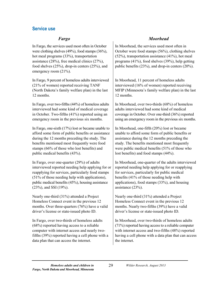### **Service use**

In Fargo, the services used most often in October were clothing shelves (49%), food stamps (36%), hot meal programs (33%), transportation assistance (28%), free medical clinics (27%), food shelves (25%), drop-in centers (25%), and emergency room (21%).

In Fargo, 9 percent of homeless adults interviewed (21% of women) reported receiving TANF (North Dakota's family welfare plan) in the last 12 months.

In Fargo, over two-fifths (44%) of homeless adults interviewed had some kind of medical coverage in October. Two-fifths (41%) reported using an emergency room in the previous six months.

In Fargo, one-sixth (17%) lost or became unable to afford some form of public benefits or assistance during the 12 months preceding the study. The benefits mentioned most frequently were food stamps (66% of those who lost benefits) and public medical benefits (43%).

In Fargo, over one-quarter (29%) of adults interviewed reported needing help applying for or reapplying for services, particularly food stamps (51% of those needing help with applications), public medical benefits (45%), housing assistance (23%), and SSI (19%).

Nearly one-third (31%) attended a Project Homeless Connect event in the previous 12 months. Over three-quarters (76%) have a valid driver's license or state-issued photo ID.

In Fargo, over two-thirds of homeless adults (68%) reported having access to a reliable computer with internet access and nearly twofifths (39%) reported having a cell phone with a data plan that can access the internet.

# *Fargo Moorhead*

In Moorhead, the services used most often in October were food stamps (56%), clothing shelves (52%), transportation assistance (41%), hot meal programs (41%), food shelves (39%), help getting public benefits (23%), and drop-in centers (20%).

In Moorhead, 11 percent of homeless adults interviewed (16% of women) reported receiving MFIP (Minnesota's family welfare plan) in the last 12 months.

In Moorhead, over two-thirds (68%) of homeless adults interviewed had some kind of medical coverage in October. Over one-third (36%) reported using an emergency room in the previous six months.

In Moorhead, one-fifth (20%) lost or became unable to afford some form of public benefits or assistance during the 12 months preceding the study. The benefits mentioned most frequently were public medical benefits (51% of those who lost benefits) and food stamps (44%).

In Moorhead, one-quarter of the adults interviewed reported needing help applying for or reapplying for services, particularly for public medical benefits (41% of those needing help with applications), food stamps (33%), and housing assistance (23%).

Nearly one-third (31%) attended a Project Homeless Connect event in the previous 12 months. Nearly two-fifths (39%) have a valid driver's license or state-issued photo ID.

In Moorhead, over two-thirds of homeless adults (71%) reported having access to a reliable computer with internet access and two-fifths (48%) reported having a cell phone with a data plan that can access the internet.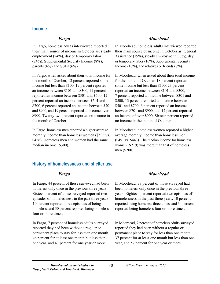### **Income**

In Fargo, homeless adults interviewed reported their main source of income in October as: steady employment (24%), day or temporary labor (24%), Supplemental Security Income (8%), parents  $(6\%)$  and SSDI  $(6\%)$ .

In Fargo, when asked about their total income for the month of October, 12 percent reported some income but less than \$100, 19 percent reported an income between \$101 and \$300, 11 percent reported an income between \$301 and \$500, 12 percent reported an income between \$501 and \$700, 6 percent reported an income between \$701 and \$900, and 19 percent reported an income over \$900. Twenty-two percent reported no income in the month of October.

In Fargo, homeless men reported a higher average monthly income than homeless women (\$533 vs. \$426). Homeless men and women had the same median income (\$300).

### *Fargo Moorhead*

In Moorhead, homeless adults interviewed reported their main source of income in October as: General Assistance (19%), steady employment (17%), day or temporary labor (16%), Supplemental Security Income (10%), and relatives or friends (8%).

In Moorhead, when asked about their total income for the month of October, 18 percent reported some income but less than \$100, 23 percent reported an income between \$101 and \$300, 7 percent reported an income between \$301 and \$500, 13 percent reported an income between \$501 and \$700, 6 percent reported an income between \$701 and \$900, and 17 percent reported an income of over \$900. Sixteen percent reported no income in the month of October.

In Moorhead, homeless women reported a higher average monthly income than homeless men (\$451 vs. \$443). The median income for homeless women (\$219) was more than that of homeless men (\$200).

# **History of homelessness and shelter use**

In Fargo, 44 percent of those surveyed had been homeless only once in the previous three years. Sixteen percent of those surveyed reported two episodes of homelessness in the past three years, 10 percent reported three episodes of being homeless, and 30 percent reported being homeless four or more times.

In Fargo, 7 percent of homeless adults surveyed reported they had been without a regular or permanent place to stay for less than one month, 46 percent for at least one month but less than one year, and 47 percent for one year or more.

### *Fargo Moorhead*

In Moorhead, 38 percent of those surveyed had been homeless only once in the previous three years. Eighteen percent reported two episodes of homelessness in the past three years, 10 percent reported being homeless three times, and 34 percent reported being homeless four or more times.

In Moorhead, 7 percent of homeless adults surveyed reported they had been without a regular or permanent place to stay for less than one month, 37 percent for at least one month but less than one year, and 57 percent for one year or more.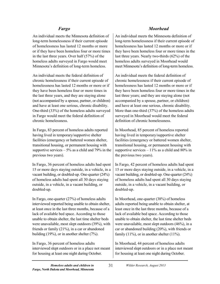An individual meets the Minnesota definition of long-term homelessness if their current episode of homelessness has lasted 12 months or more or if they have been homeless four or more times in the last three years. Over half (57%) of the homeless adults surveyed in Fargo would meet Minnesota's definition of long-term homeless.

An individual meets the federal definition of chronic homelessness if their current episode of homelessness has lasted 12 months or more or if they have been homeless four or more times in the last three years, and they are staying alone (not accompanied by a spouse, partner, or children) and have at least one serious, chronic disability. One-third (33%) of the homeless adults surveyed in Fargo would meet the federal definition of chronic homelessness.

In Fargo, 83 percent of homeless adults reported having lived in temporary/supportive shelter facilities (emergency or battered women shelter, transitional housing, or permanent housing with supportive services  $-5\%$  as a child and 79% in the previous two years).

In Fargo, 36 percent of homeless adults had spent 15 or more days staying outside, in a vehicle, in a vacant building, or doubled-up. One-quarter (24%) of homeless adults had spent all 30 days staying outside, in a vehicle, in a vacant building, or doubled-up.

In Fargo, one-quarter (27%) of homeless adults interviewed reported being unable to obtain shelter, at least once in the last three months, because of a lack of available bed space. According to those unable to obtain shelter, the last time shelter beds were unavailable, most slept outdoors (39%), with friends or family (21%), in a car or abandoned building (19%), or in another shelter (7%).

In Fargo, 36 percent of homeless adults interviewed slept outdoors or in a place not meant for housing at least one night during October.

# *Fargo Moorhead*

An individual meets the Minnesota definition of long-term homelessness if their current episode of homelessness has lasted 12 months or more or if they have been homeless four or more times in the last three years. Nearly two-thirds (62%) of the homeless adults surveyed in Moorhead would meet Minnesota's definition of long-term homeless.

An individual meets the federal definition of chronic homelessness if their current episode of homelessness has lasted 12 months or more or if they have been homeless four or more times in the last three years; and they are staying alone (not accompanied by a spouse, partner, or children) and have at least one serious, chronic disability. More than one-third (37%) of the homeless adults surveyed in Moorhead would meet the federal definition of chronic homelessness.

In Moorhead, 85 percent of homeless reported having lived in temporary/supportive shelter facilities (emergency or battered women shelter, transitional housing, or permanent housing with supportive services  $-11\%$  as a child and 80% in the previous two years).

In Fargo, 42 percent of homeless adults had spent 15 or more days staying outside, in a vehicle, in a vacant building, or doubled-up. One-quarter (24%) of homeless adults had spent all 30 days staying outside, in a vehicle, in a vacant building, or doubled-up.

In Moorhead, one-quarter (38%) of homeless adults reported being unable to obtain shelter, at least once in the last three months, because of a lack of available bed space. According to those unable to obtain shelter, the last time shelter beds were unavailable, most slept outdoors (46%), in a car or abandoned building (20%), with friends or family  $(11\%)$ , or in another shelter  $(11\%)$ .

In Moorhead, 44 percent of homeless adults interviewed slept outdoors or in a place not meant for housing at least one night during October.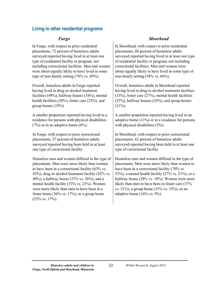## **Living in other residential programs**

In Fargo, with respect to prior residential placements, 72 percent of homeless adults surveyed reported having lived in at least one type of residential facility or program, not including correctional facilities. Men and women were about equally likely to have lived in some type of non-family setting (74% vs. 69%).

Overall, homeless adults in Fargo reported having lived in drug or alcohol treatment facilities (49%), halfway houses (34%), mental health facilities (29%), foster care (23%), and group homes (19%).

A smaller proportion reported having lived in a residence for persons with physical disabilities  $(7%)$  or in an adoptive home  $(6%)$ .

In Fargo, with respect to prior correctional placements, 57 percent of homeless adults surveyed reported having been held in at least one type of correctional facility.

Homeless men and women differed in the type of placements. Men were more likely than women to have been in a correctional facility (63% vs. 45%), drug or alcohol treatment facility (52% vs. 40%), a halfway house (37% vs. 26%), and a mental health facility (33% vs. 23%). Women were more likely than men to have been in a foster home  $(36\% \text{ vs. } 17\%)$ , or a group home (23% vs. 17%).

### *Fargo Moorhead*

In Moorhead, with respect to prior residential placements, 60 percent of homeless adults surveyed reported having lived in at least one type of residential facility or program, not including correctional facilities. Men and women were about equally likely to have lived in some type of non-family setting (58% vs. 64%).

Overall, homeless adults in Moorhead reported having lived in drug or alcohol treatment facilities (33%), foster care (27%), mental health facilities (25%), halfway houses (24%), and group homes  $(21\%)$ .

A smaller proportion reported having lived in an adoptive home (11%) or in a residence for persons with physical disabilities (5%).

In Moorhead, with respect to prior correctional placements, 62 percent of homeless adults surveyed reported having been held in at least one type of correctional facility.

Homeless men and women differed in the type of placements. Men were more likely than women to have been in a correctional facility (70% vs. 51%), a mental health facility  $(27\% \text{ vs. } 21\%)$ , or a halfway house (28% vs. 18%). Women were more likely than men to have been in foster care (37% vs. 21%), a group home (31% vs. 15%), or an adoptive home  $(16\% \text{ vs. } 9\%)$ .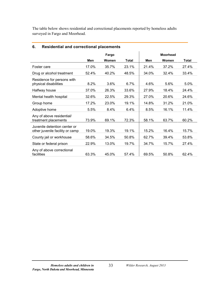The table below shows residential and correctional placements reported by homeless adults surveyed in Fargo and Moorhead.

|                                                                 | Fargo |       | <b>Moorhead</b> |       |       |              |
|-----------------------------------------------------------------|-------|-------|-----------------|-------|-------|--------------|
|                                                                 | Men   | Women | Total           | Men   | Women | <b>Total</b> |
| Foster care                                                     | 17.0% | 35.7% | 23.1%           | 21.4% | 37.2% | 27.4%        |
| Drug or alcohol treatment                                       | 52.4% | 40.2% | 48.5%           | 34.0% | 32.4% | 33.4%        |
| Residence for persons with<br>physical disabilities             | 8.2%  | 3.6%  | 6.7%            | 4.6%  | 5.6%  | 5.0%         |
| Halfway house                                                   | 37.0% | 26.3% | 33.6%           | 27.9% | 18.4% | 24.4%        |
| Mental health hospital                                          | 32.6% | 22.5% | 29.3%           | 27.0% | 20.6% | 24.6%        |
| Group home                                                      | 17.2% | 23.0% | 19.1%           | 14.8% | 31.2% | 21.0%        |
| Adoptive home                                                   | 5.5%  | 8.4%  | 6.4%            | 8.5%  | 16.1% | 11.4%        |
| Any of above residential/<br>treatment placements               | 73.9% | 69.1% | 72.3%           | 58.1% | 63.7% | 60.2%        |
| Juvenile detention center or<br>other juvenile facility or camp | 19.0% | 19.3% | 19.1%           | 15.2% | 16.4% | 15.7%        |
| County jail or workhouse                                        | 58.6% | 34.5% | 50.8%           | 62.7% | 39.4% | 53.8%        |
| State or federal prison                                         | 22.9% | 13.0% | 19.7%           | 34.7% | 15.7% | 27.4%        |
| Any of above correctional<br>facilities                         | 63.3% | 45.0% | 57.4%           | 69.5% | 50.8% | 62.4%        |

### **6. Residential and correctional placements**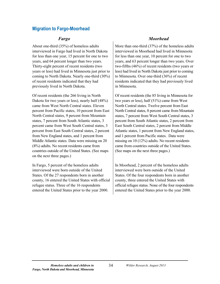### **Migration to Fargo-Moorhead**

About one-third (35%) of homeless adults interviewed in Fargo had lived in North Dakota for less than one year, 15 percent for one to two years, and 64 percent longer than two years. Thirty-eight percent of recent residents (two years or less) had lived in Minnesota just prior to coming to North Dakota. Nearly one-third (30%) of recent residents indicated that they had previously lived in North Dakota.

Of recent residents (the 266 living in North Dakota for two years or less), nearly half (48%) came from West North Central states. Eleven percent from Pacific states, 10 percent from East North Central states, 9 percent from Mountain states, 7 percent from South Atlantic states, 3 percent came from West South Central states, 3 percent from East South Central states, 2 percent from New England states, and 1 percent from Middle Atlantic states. Data were missing on 20 (8%) adults. No recent residents came from countries outside of the United States. (See maps on the next three pages.)

In Fargo, 5 percent of the homeless adults interviewed were born outside of the United States. Of the 27 respondents born in another county, 16 entered the United States with official refugee status. Three of the 16 respondents entered the United States prior to the year 2000.

### *Fargo Moorhead*

More than one-third (37%) of the homeless adults interviewed in Moorhead had lived in Minnesota for less than one year, 10 percent for one to two years, and 63 percent longer than two years. Over two-fifths (46%) of recent residents (two years or less) had lived in North Dakota just prior to coming to Minnesota. Over one-third (36%) of recent residents indicated that they had previously lived in Minnesota.

Of recent residents (the 85 living in Minnesota for two years or less), half (51%) came from West North Central states. Twelve percent from East North Central states, 8 percent came from Mountain states, 7 percent from West South Central states, 3 percent from South Atlantic states, 2 percent from East South Central states, 2 percent from Middle Atlantic states, 1 percent from New England states, and 1 percent from Pacific states. Data were missing on 10 (12%) adults. No recent residents came from countries outside of the United States. (See maps on the next three pages.)

In Moorhead, 2 percent of the homeless adults interviewed were born outside of the United States. Of the four respondents born in another county, three entered the United States with official refugee status. None of the four respondents entered the United States prior to the year 2000.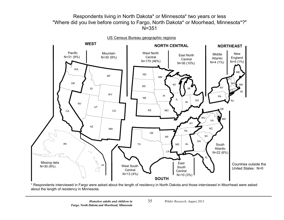# Respondents living in North Dakota\* or Minnesota\* two years or less "Where did you live before coming to Fargo, North Dakota\* or Moorhead, Minnesota\*?" N=351



\* Respondents interviewed in Fargo were asked about the length of residency in North Dakota and those interviewed in Moorhead were asked about the length of residency in Minnesota.

35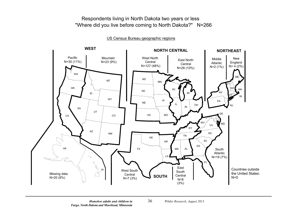Respondents living in North Dakota two years or less "Where did you live before coming to North Dakota?" N=266



US Census Bureau geographic regions

36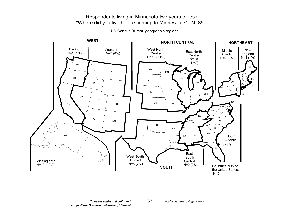# Respondents living in Minnesota two years or less "Where did you live before coming to Minnesota?" N=85

US Census Bureau geographic regions



37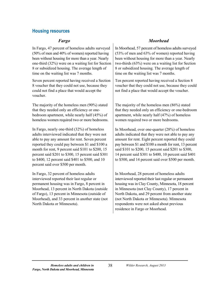### **Housing resources**

In Fargo, 47 percent of homeless adults surveyed (50% of men and 40% of women) reported having been without housing for more than a year. Nearly one-third (32%) were on a waiting list for Section 8 or subsidized housing. The average length of time on the waiting list was 7 months.

Seven percent reported having received a Section 8 voucher that they could not use, because they could not find a place that would accept the voucher.

The majority of the homeless men (90%) stated that they needed only an efficiency or onebedroom apartment, while nearly half (45%) of homeless women required two or more bedrooms.

In Fargo, nearly one-third (32%) of homeless adults interviewed indicated that they were not able to pay any amount for rent. Seven percent reported they could pay between \$1 and \$100 a month for rent, 9 percent said \$101 to \$200, 15 percent said \$201 to \$300, 15 percent said \$301 to \$400, 12 percent said \$401 to \$500, and 10 percent said over \$500 per month.

In Fargo, 32 percent of homeless adults interviewed reported their last regular or permanent housing was in Fargo, 8 percent in Moorhead, 13 percent in North Dakota (outside of Fargo), 13 percent in Minnesota (outside of Moorhead), and 33 percent in another state (not North Dakota or Minnesota).

### *Fargo Moorhead*

In Moorhead, 57 percent of homeless adults surveyed (53% of men and 63% of women) reported having been without housing for more than a year. Nearly two-thirds (63%) were on a waiting list for Section 8 or subsidized housing. The average length of time on the waiting list was 7 months.

Ten percent reported having received a Section 8 voucher that they could not use, because they could not find a place that would accept the voucher.

The majority of the homeless men (86%) stated that they needed only an efficiency or one-bedroom apartment, while nearly half (47%) of homeless women required two or more bedrooms.

In Moorhead, over one-quarter (28%) of homeless adults indicated that they were not able to pay any amount for rent. Eight percent reported they could pay between \$1 and \$100 a month for rent, 13 percent said \$101 to \$200, 15 percent said \$201 to \$300, 14 percent said \$301 to \$400, 10 percent said \$401 to \$500, and 14 percent said over \$500 per month.

In Moorhead, 28 percent of homeless adults interviewed reported their last regular or permanent housing was in Clay County, Minnesota, 18 percent in Minnesota (not Clay County), 17 percent in North Dakota, and 29 percent from another state (not North Dakota or Minnesota). Minnesota respondents were not asked about previous residence in Fargo or Moorhead.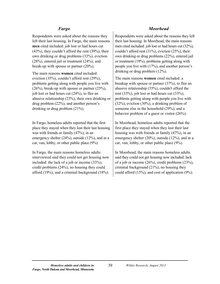Respondents were asked about the reasons they left their last housing. In Fargo, the main reasons **men** cited included: job lost or had hours cut (43%), they couldn't afford the rent (39%), their own drinking or drug problems (33%), eviction (28%), entered jail or treatment (24%), and break-up with spouse or partner (20%).

The main reasons **women** cited included: eviction (35%), couldn't afford rent (29%), problems getting along with people you live with  $(26\%)$ , break-up with spouse or partner  $(25\%)$ , job lost or had hours cut (24%), to flee an abusive relationship (23%), their own drinking or drug problem (22%), and another person's drinking or drug problem (21%).

In Fargo, homeless adults reported that the first place they stayed when they lost their last housing was with friends or family (47%), in an emergency shelter (24%), outside (12%), and in a car, van, lobby, or other public place (9%).

In Fargo, the main reasons homeless adults interviewed said they could not get housing now included: the lack of a job or income (33%), credit problems (24%), no housing they could afford (19%), and a criminal background (18%).

### *Fargo Moorhead*

Respondents were asked about the reasons they left their last housing. In Moorhead, the main reasons men cited included: job lost or had hours cut (32%), couldn't afford rent (31%), eviction (25%), their own drinking or drug problems (22%), entered jail or treatment (19%), problems getting along with people you live with (17%), and another person's drinking or drug problem (12%).

The main reasons **women** cited included: a breakup with spouse or partner (37%), to flee an abusive relationship (35%), couldn't afford the rent (33%), job lost or had hours cut (33%), problems getting along with people you live with (32%), eviction (30%), a drinking problem of someone else in the household (29%), and a behavior problem of a guest or visitor (26%).

In Moorhead, homeless adults reported that the first place they stayed when they lost their last housing was with friends or family (47%), in an emergency shelter (20%), outside (12%), and in a car, van, lobby, or other public place (9%).

In Moorhead, the main reasons homeless adults said they could not get housing now included: lack of a job or income (26%), credit problems (23%), criminal background (21%), no housing they could afford (15%), and cost of application (9%).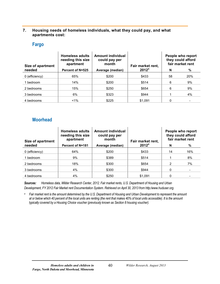### **7. Housing needs of homeless individuals, what they could pay, and what apartments cost:**

### **Fargo**

| Size of apartment | <b>Homeless adults</b><br>needing this size<br>apartment | Amount individual<br>could pay per<br>month | Fair market rent, | People who report<br>they could afford<br>fair market rent |                          |
|-------------------|----------------------------------------------------------|---------------------------------------------|-------------------|------------------------------------------------------------|--------------------------|
| needed            | <b>Percent of N=525</b>                                  | Average (median)                            | 2012 <sup>a</sup> | N                                                          | %                        |
| 0 (efficiency)    | 65%                                                      | \$200                                       | \$433             | 58                                                         | 20%                      |
| 1 bedroom         | 14%                                                      | \$200                                       | \$514             | 6                                                          | 9%                       |
| 2 bedrooms        | 15%                                                      | \$250                                       | \$654             | 6                                                          | 9%                       |
| 3 bedrooms        | 6%                                                       | \$323                                       | \$944             |                                                            | 4%                       |
| 4 bedrooms        | $< 1\%$                                                  | \$225                                       | \$1.091           | 0                                                          | $\overline{\phantom{a}}$ |

### **Moorhead**

| <b>Size of apartment</b> | <b>Homeless adults</b><br>needing this size<br>apartment | Amount individual<br>could pay per<br>month | Fair market rent, | People who report<br>they could afford<br>fair market rent |     |
|--------------------------|----------------------------------------------------------|---------------------------------------------|-------------------|------------------------------------------------------------|-----|
| needed                   | <b>Percent of N=181</b>                                  | Average (median)                            | $2012^a$          | N                                                          | %   |
| 0 (efficiency)           | 64%                                                      | \$200                                       | \$433             | 14                                                         | 16% |
| 1 bedroom                | 9%                                                       | \$389                                       | \$514             |                                                            | 8%  |
| 2 bedrooms               | 18%                                                      | \$300                                       | \$654             | 2                                                          | 7%  |
| 3 bedrooms               | 4%                                                       | \$300                                       | \$944             | 0                                                          |     |
| 4 bedrooms               | 4%                                                       | \$250                                       | \$1,091           | 0                                                          |     |

*Sources: Homeless data, Wilder Research Center, 2012. Fair market rents, U.S. Department of Housing and Urban Development, FY 2012 Fair Market rent Documentation System. Retrieved on April 30, 2013 from http[:/www.huduser.org.](http://www.huduser.org/)*

*<sup>a</sup> Fair market rent is the amount determined by the U.S. Department of Housing and Urban Development to represent the amount at or below which 40 percent of the local units are renting (the rent that makes 40% of local units accessible). It is the amount typically covered by a Housing Choice voucher (previously known as Section 8 housing voucher).*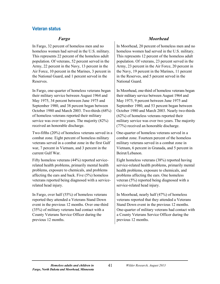### **Veteran status**

In Fargo, 32 percent of homeless men and no homeless women had served in the U.S. military. This represents 22 percent of the homeless adult population. Of veterans, 52 percent served in the Army, 22 percent in the Navy, 13 percent in the Air Force, 10 percent in the Marines, 3 percent in the National Guard, and 1 percent served in the Reserves.

In Fargo, one-quarter of homeless veterans began their military service between August 1964 and May 1975, 34 percent between June 1975 and September 1980, and 38 percent began between October 1980 and March 2003. Two-thirds (68%) of homeless veterans reported their military service was over two years. The majority (82%) received an honorable discharge.

Two-fifths (20%) of homeless veterans served in a combat zone. Eight percent of homeless military veterans served in a combat zone in the first Gulf war, 7 percent in Vietnam, and 3 percent in the current Gulf War.

Fifty homeless veterans (44%) reported servicerelated health problems, primarily mental health problems, exposure to chemicals, and problems affecting the ears and back. Five (5%) homeless veterans reported being diagnosed with a servicerelated head injury.

In Fargo, over half (55%) of homeless veterans reported they attended a Veterans Stand Down event in the previous 12 months. Over one-third (35%) of military veterans had contact with a County Veterans Service Officer during the previous 12 months.

### *Fargo Moorhead*

In Moorhead, 20 percent of homeless men and no homeless women had served in the U.S. military. This represents 12 percent of the homeless adult population. Of veterans, 23 percent served in the Army, 23 percent in the Air Force, 20 percent in the Navy, 19 percent in the Marines, 11 percent in the Reserves, and 5 percent served in the National Guard.

In Moorhead, one-third of homeless veterans began their military service between August 1964 and May 1975, 9 percent between June 1975 and September 1980, and 53 percent began between October 1980 and March 2003. Nearly two-thirds (62%) of homeless veterans reported their military service was over two years. The majority (77%) received an honorable discharge.

One-quarter of homeless veterans served in a combat zone. Fourteen percent of the homeless military veterans served in a combat zone in Vietnam, 6 percent in Granada, and 5 percent in Beirut/Lebanon.

Eight homeless veterans (38%) reported having service-related health problems, primarily mental health problems, exposure to chemicals, and problems affecting the ears. One homeless veteran (5%) reported being diagnosed with a service-related head injury.

In Moorhead, nearly half (47%) of homeless veterans reported that they attended a Veterans Stand Down event in the previous 12 months. One-quarter of military veterans had contact with a County Veterans Service Officer during the previous 12 months.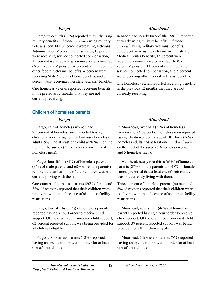In Fargo, two-thirds (68%) reported currently using military benefits. Of those *currently* using military veterans' benefits, 63 percent were using Veterans Administration Medical Center services, 16 percent were receiving service connected compensation, 11 percent were receiving a non-service connected (NSC) veterans' pension, 4 percent were receiving other federal veterans' benefits, 4 percent were receiving State Veterans Home benefits, and 3 percent were receiving other state veterans' benefits.

One homeless veteran reported receiving benefits in the previous 12 months that they are not currently receiving.

# **Children of homeless parents**

In Fargo, half of homeless women and 21 percent of homeless men reported *having*  children under the age of 18. Forty-six homeless adults (9%) had at least one child *with them* on the night of the survey (39 homeless women and 4 homeless men).

In Fargo, four-fifths (81%) of homeless parents (96% of male parents and 68% of female parents) reported that at least one of their children was not currently living with them.

One-quarter of homeless parents (20% of men and 32% of women) reported that their children were not living with them because of shelter or facility restrictions.

In Fargo, three-fifths (59%) of homeless parents reported having a court order to receive child support. Of those with court-ordered child support, 62 percent reported support was being provided for all children eligible.

In Fargo, 20 homeless parents (12%) reported having an open child protection order for at least one of their children.

### *Fargo Moorhead*

In Moorhead, nearly three-fifths (58%), reported currently using military benefits. Of those *currently* using military veterans' benefits, 53 percent were using Veterans Administration Medical Center benefits, 15 percent were receiving a non-service connected (NSC) veterans' pension, 11 percent were receiving service connected compensation, and 5 percent were receiving other federal veterans' benefits.

One homeless veteran reported receiving benefits in the previous 12 months that they are not currently receiving.

# *Fargo Moorhead*

In Moorhead, over half (55%) of homeless women and 24 percent of homeless men reported *having* children under the age of 18. Thirty (16%) homeless adults had at least one child *with them* on the night of the survey (16 homeless women and 5 homeless men).

In Moorhead, nearly two-thirds (63%) of homeless parents (87% of male parents and 47% of female parents) reported that at least one of their children was not currently living with them.

Three percent of homeless parents (no men and 6% of women) reported that their children were not living with them because of shelter or facility restrictions.

In Moorhead, nearly half (46%) of homeless parents reported having a court order to receive child support. Of those with court-ordered child support, 39 percent reported support was being provided for all children eligible.

In Moorhead, 5 homeless parents (7%) reported having an open child protection order for at least one of their children.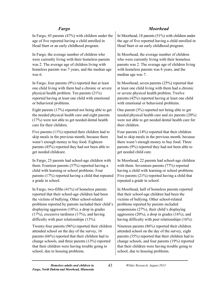In Fargo, 45 parents (47%) with children under the age of five reported having a child enrolled in Head Start or an early childhood program.

In Fargo, the average number of children who were currently living with their homeless parents was 2. The average age of children living with homeless parents was 7 years, and the median age was 6.

In Fargo, four parents (9%) reported that at least one child living with them had a chronic or severe physical health problem. Ten parents (21%) reported having at least one child with emotional or behavioral problems.

Eight parents (17%) reported not being able to get the needed physical health care and eight parents (17%) were not able to get needed dental health care for their children.

Five parents (11%) reported their children had to skip meals in the previous month, because there wasn't enough money to buy food. Eighteen parents (45%) reported they had not been able to get needed childcare.

In Fargo, 25 parents had school-age children with them. Fourteen parents (57%) reported having a child with learning or school problems. Four parents (17%) reported having a child that repeated a grade in school.

In Fargo, two-fifths (41%) of homeless parents reported that their school-age children had been the victims of bullying. Other school-related problems reported by parents included their child's displaying aggression (18%), a drop in grades (17%), excessive tardiness (17%), and having difficulty with peer relationships (13%).

Twenty-four parents (96%) reported their children attended school on the day of the survey, 16 parents (66%) reported that their children had to change schools, and three parents (13%) reported that their children were having trouble going to school, due to housing problems.

# *Fargo Moorhead*

In Moorhead, 18 parents (51%) with children under the age of five reported having a child enrolled in Head Start or an early childhood program.

In Moorhead, the average number of children who were currently living with their homeless parents was 2. The average age of children living with homeless parents was 8 years, and the median age was 7.

In Moorhead, seven parents (25%) reported that at least one child living with them had a chronic or severe physical health problem. Twelve parents (42%) reported having at least one child with emotional or behavioral problems.

One parent (3%) reported not being able to get needed physical health care and six parents (20%) were not able to get needed dental health care for their children.

Four parents (14%) reported that their children had to skip meals in the previous month, because there wasn't enough money to buy food. Three parents (9%) reported they had not been able to get needed child care.

In Moorhead, 22 parents had school-age children with them. Seventeen parents (77%) reported having a child with learning or school problems. Five parents (21%) reported having a child that repeated a grade in school.

In Moorhead, half of homeless parents reported that their school-age children had been the victims of bullying. Other school-related problems reported by parents included suspensions (27%), their child's displaying aggression (20%), a drop in grades (16%), and having difficulty with peer relationships (16%).

Nineteen parents (86%) reported their children attended school on the day of the survey, eight parents (35%) reported that their children had to change schools, and four parents (19%) reported that their children were having trouble going to school, due to housing problems.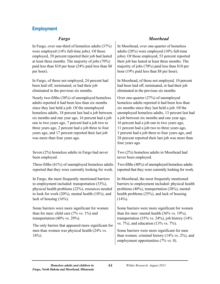# **Employment**

In Fargo, over one-third of homeless adults (37%) were employed (14% full-time jobs). Of those employed, 39 percent reported their job had lasted at least three months. The majority of jobs (70%) paid less than \$10 per hour (24% paid less than \$8 per hour).

In Fargo, of those not employed, 24 percent had been laid off, terminated, or had their job eliminated in the previous six months.

Nearly two-fifths (38%) of unemployed homeless adults reported it had been less than six months since they last held a job. Of the unemployed homeless adults, 18 percent last had a job between six months and one year ago, 16 percent had a job one to two years ago, 7 percent had a job two to three years ago, 2 percent had a job three to four years ago, and 17 percent reported their last job was more than four years ago.

Seven (2%) homeless adults in Fargo had never been employed.

Three-fifths (61%) of unemployed homeless adults reported that they were currently looking for work.

In Fargo, the most frequently mentioned barriers to employment included: transportation (33%), physical health problems (22%), resources needed to look for work (20%), mental health (18%), and lack of housing (16%).

Some barriers were more significant for women than for men: child care  $(7\%$  vs.  $1\%)$  and transportation (40% vs. 29%).

The only barrier that appeared more significant for men than women was physical health (24% vs. 18%).

## *Fargo Moorhead*

In Moorhead, over one-quarter of homeless adults (28%) were employed (10% full-time jobs). Of those employed, 53 percent reported their job has lasted at least three months. The majority of jobs (70%) paid less than \$10 per hour (19% paid less than \$8 per hour).

In Moorhead, of those not employed, 10 percent had been laid off, terminated, or had their job eliminated in the previous six months.

Over one-quarter (27%) of unemployed homeless adults reported it had been less than six months since they last held a job. Of the unemployed homeless adults, 13 percent last had a job between six months and one year ago, 16 percent had a job one to two years ago, 11 percent had a job two to three years ago, 3 percent had a job three to four years ago, and 28 percent reported their last job was more than four years ago.

Two (2%) homeless adults in Moorhead had never been employed.

Two-fifths (40%) of unemployed homeless adults reported that they were currently looking for work.

In Moorhead, the most frequently mentioned barriers to employment included: physical health problems (40%), transportation (28%), mental health problems (25%), and lack of housing  $(14\%)$ .

Some barriers were more significant for women than for men: mental health  $(36\% \text{ vs. } 19\%),$ transportation  $(35\% \text{ vs. } 24\%)$ , job history  $(14\%$ vs. 7%), and education (13% vs. 7%).

Some barriers were more significant for men than women: criminal history (14% vs. 2%), and employment opportunities (7% vs. 0).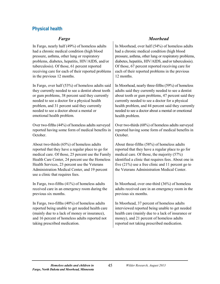# **Physical health**

In Fargo, nearly half (49%) of homeless adults had a chronic medical condition (high blood pressure, asthma, other lung or respiratory problems, diabetes, hepatitis, HIV/AIDS, and/or tuberculosis). Of those, 61 percent reported receiving care for each of their reported problems in the previous 12 months.

In Fargo, over half (53%) of homeless adults said they currently needed to see a dentist about tooth or gum problems, 38 percent said they currently needed to see a doctor for a physical health problem, and 31 percent said they currently needed to see a doctor about a mental or emotional health problem.

Over two-fifths (44%) of homeless adults surveyed reported having some form of medical benefits in **October** 

About two-thirds (65%) of homeless adults reported that they have a regular place to go for medical care. Of those, 25 percent use the Family Health Care Center, 24 percent use the Homeless Health Services, 23 percent use the Veterans Administration Medical Center, and 19 percent use a clinic that requires fees.

In Fargo, two-fifths (41%) of homeless adults received care in an emergency room during the previous six months.

In Fargo, two-fifths (40%) of homeless adults reported being unable to get needed health care (mainly due to a lack of money or insurance), and 16 percent of homeless adults reported not taking prescribed medication.

### *Fargo Moorhead*

In Moorhead, over half (54%) of homeless adults had a chronic medical condition (high blood pressure, asthma, other lung or respiratory problems, diabetes, hepatitis, HIV/AIDS, and/or tuberculosis). Of those, 67 percent reported receiving care for each of their reported problems in the previous 12 months.

In Moorhead, nearly three-fifths (59%) of homeless adults said they currently needed to see a dentist about tooth or gum problems, 47 percent said they currently needed to see a doctor for a physical health problem, and 44 percent said they currently needed to see a doctor about a mental or emotional health problem.

Over two-thirds (68%) of homeless adults surveyed reported having some form of medical benefits in **October** 

About three-fifths (58%) of homeless adults reported that they have a regular place to go for medical care. Of those, the majority (57%) identified a clinic that requires fees. About one in five (21%) use a free clinic and 11 percent go to the Veterans Administration Medical Center.

In Moorhead, over one-third (36%) of homeless adults received care in an emergency room in the previous six months.

In Moorhead, 37 percent of homeless adults interviewed reported being unable to get needed health care (mainly due to a lack of insurance or money), and 21 percent of homeless adults reported not taking prescribed medication.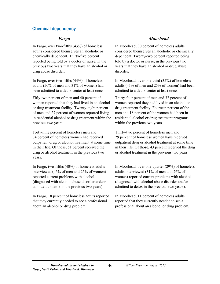# **Chemical dependency**

In Fargo, over two-fifths (43%) of homeless adults considered themselves an alcoholic or chemically dependent. Thirty-five percent reported being told by a doctor or nurse, in the previous two years that they have an alcohol or drug abuse disorder.

In Fargo, over two-fifths (44%) of homeless adults (50% of men and 31% of women) had been admitted to a detox center at least once.

Fifty-two percent of men and 40 percent of women reported that they had lived in an alcohol or drug treatment facility. Twenty-eight percent of men and 27 percent of women reported living in residential alcohol or drug treatment within the previous two years.

Forty-nine percent of homeless men and 34 percent of homeless women had received outpatient drug or alcohol treatment at some time in their life. Of those, 51 percent received the drug or alcohol treatment in the previous two years.

In Fargo, two-fifths (40%) of homeless adults interviewed (46% of men and 26% of women) reported current problems with alcohol (diagnosed with alcohol abuse disorder and/or admitted to detox in the previous two years).

In Fargo, 18 percent of homeless adults reported that they currently needed to see a professional about an alcohol or drug problem.

# *Fargo Moorhead*

In Moorhead, 30 percent of homeless adults considered themselves an alcoholic or chemically dependent. Twenty-two percent reported being told by a doctor or nurse, in the previous two years that they have an alcohol or drug abuse disorder.

In Moorhead, over one-third (35%) of homeless adults (41% of men and 25% of women) had been admitted to a detox center at least once.

Thirty-four percent of men and 32 percent of women reported they had lived in an alcohol or drug treatment facility. Fourteen percent of the men and 18 percent of the women had been in residential alcohol or drug treatment programs within the previous two years.

Thirty-two percent of homeless men and 29 percent of homeless women have received outpatient drug or alcohol treatment at some time in their life. Of those, 43 percent received the drug or alcohol treatment in the previous two years.

In Moorhead, over one-quarter (29%) of homeless adults interviewed (31% of men and 26% of women) reported current problems with alcohol (diagnosed with alcohol abuse disorder and/or admitted to detox in the previous two years).

In Moorhead, 11 percent of homeless adults reported that they currently needed to see a professional about an alcohol or drug problem.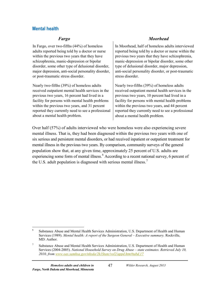### **Mental health**

In Fargo, over two-fifths (44%) of homeless adults reported being told by a doctor or nurse within the previous two years that they have schizophrenia, manic-depression or bipolar disorder, some other type of delusional disorder, major depression, anti-social personality disorder, or post-traumatic stress disorder.

Nearly two-fifths (39%) of homeless adults received outpatient mental health services in the previous two years, 16 percent had lived in a facility for persons with mental health problems within the previous two years, and 31 percent reported they currently need to see a professional about a mental health problem.

### *Fargo Moorhead*

In Moorhead, half of homeless adults interviewed reported being told by a doctor or nurse within the previous two years that they have schizophrenia, manic-depression or bipolar disorder, some other type of delusional disorder, major depression, anti-social personality disorder, or post-traumatic stress disorder.

Nearly two-fifths (39%) of homeless adults received outpatient mental health services in the previous two years, 10 percent had lived in a facility for persons with mental health problems within the previous two years, and 44 percent reported they currently need to see a professional about a mental health problem.

Over half (57%) of adults interviewed who were homeless were also experiencing severe mental illness. That is, they had been diagnosed within the previous two years with one of six serious and persistent mental disorders, or had received inpatient or outpatient treatment for mental illness in the previous two years. By comparison, community surveys of the general population show that, at any given time, approximately 25 percent of U.S. adults are experiencing some form of mental illness.<sup>[6](#page-56-0)</sup> According to a recent national survey, 6 percent of the U.S. adult population is diagnosed with serious mental illness.<sup>[7](#page-56-1)</sup>

<span id="page-56-0"></span> <sup>6</sup> Substance Abuse and Mental Health Services Administration, U.S. Department of Health and Human Services (1989). *Mental health: A report of the Surgeon General – Executive summary.* Rockville, MD: Author.

<span id="page-56-1"></span><sup>&</sup>lt;sup>7</sup> Substance Abuse and Mental Health Services Administration, U.S. Department of Health and Human Services (2004-2005). *National Household Survey on Drug Abuse – state estimates. Retrieved July 10, 2010, from [www.oas.samhsa.gov/nhsda/2k1State/vol2/appd.htm#tabd.17](http://www.oas.samhsa.gov/nhsda/2k1State/vol2/appd.htm#tabd.17)*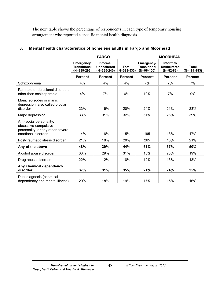The next table shows the percentage of respondents in each type of temporary housing arrangement who reported a specific mental health diagnosis.

|                                                                                                            | <b>FARGO</b>                                     |                                                  |                            | <b>MOORHEAD</b>                                   |                                                |                               |  |
|------------------------------------------------------------------------------------------------------------|--------------------------------------------------|--------------------------------------------------|----------------------------|---------------------------------------------------|------------------------------------------------|-------------------------------|--|
|                                                                                                            | Emergency/<br><b>Transitional</b><br>(N=289-293) | Informal/<br><b>Unsheltered</b><br>$(N=235-240)$ | <b>Total</b><br>N=523-533) | Emergency/<br><b>Transitional</b><br>$(N=98-100)$ | Informal/<br><b>Unsheltered</b><br>$(N=82-83)$ | <b>Total</b><br>$(N=181-183)$ |  |
|                                                                                                            | <b>Percent</b>                                   | <b>Percent</b>                                   | <b>Percent</b>             | <b>Percent</b>                                    | <b>Percent</b>                                 | <b>Percent</b>                |  |
| Schizophrenia                                                                                              | 4%                                               | 4%                                               | 4%                         | 7%                                                | 7%                                             | 7%                            |  |
| Paranoid or delusional disorder,<br>other than schizophrenia                                               | 4%                                               | 7%                                               | 6%                         | 10%                                               | 7%                                             | 9%                            |  |
| Manic episodes or manic<br>depression, also called bipolar<br>disorder                                     | 23%                                              | 16%                                              | 20%                        | 24%                                               | 21%                                            | 23%                           |  |
| Major depression                                                                                           | 33%                                              | 31%                                              | 32%                        | 51%                                               | 26%                                            | 39%                           |  |
| Anti-social personality,<br>obsessive-compulsive<br>personality, or any other severe<br>emotional disorder | 14%                                              | 16%                                              | 15%                        | 195                                               | 13%                                            | 17%                           |  |
| Post-traumatic stress disorder                                                                             | 21%                                              | 18%                                              | 20%                        | 265                                               | 16%                                            | 21%                           |  |
| Any of the above                                                                                           | 48%                                              | 39%                                              | 44%                        | 61%                                               | 37%                                            | 50%                           |  |
| Alcohol abuse disorder                                                                                     | 33%                                              | 29%                                              | 31%                        | 15%                                               | 23%                                            | 19%                           |  |
| Drug abuse disorder                                                                                        | 22%                                              | 12%                                              | 18%                        | 12%                                               | 15%                                            | 13%                           |  |
| Any chemical dependency<br>disorder                                                                        | 37%                                              | 31%                                              | 35%                        | 21%                                               | 24%                                            | 25%                           |  |
| Dual diagnosis (chemical<br>dependency and mental illness)                                                 | 20%                                              | 18%                                              | 19%                        | 17%                                               | 15%                                            | 16%                           |  |

### **8. Mental health characteristics of homeless adults in Fargo and Moorhead**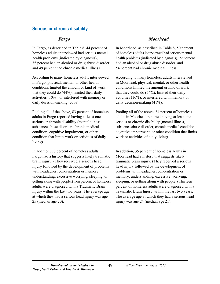## **Serious or chronic disability**

In Fargo, as described in Table 8, 44 percent of homeless adults interviewed had serious mental health problems (indicated by diagnosis), 35 percent had an alcohol or drug abuse disorder, and 49 percent had chronic medical illness.

According to many homeless adults interviewed in Fargo, physical, mental, or other health conditions limited the amount or kind of work that they could do (44%), limited their daily activities (10%), or interfered with memory or daily decision-making (31%).

Pooling all of the above, 83 percent of homeless adults in Fargo reported having at least one serious or chronic disability (mental illness, substance abuse disorder, chronic medical condition, cognitive impairment, or other condition that limits work or activities of daily living).

In addition, 30 percent of homeless adults in Fargo had a history that suggests likely traumatic brain injury. (They received a serious head injury followed by the development of problems with headaches, concentration or memory, understanding, excessive worrying, sleeping, or getting along with people.) Ten percent of homeless adults were diagnosed with a Traumatic Brain Injury within the last two years. The average age at which they had a serious head injury was age 25 (median age 20).

### *Fargo Moorhead*

In Moorhead, as described in Table 8, 50 percent of homeless adults interviewed had serious mental health problems (indicated by diagnosis), 22 percent had an alcohol or drug abuse disorder, and 54 percent had chronic medical illness.

According to many homeless adults interviewed in Moorhead, physical, mental, or other health conditions limited the amount or kind of work that they could do (54%), limited their daily activities (16%), or interfered with memory or daily decision-making (41%).

Pooling all of the above, 84 percent of homeless adults in Moorhead reported having at least one serious or chronic disability (mental illness, substance abuse disorder, chronic medical condition, cognitive impairment, or other condition that limits work or activities of daily living).

In addition, 35 percent of homeless adults in Moorhead had a history that suggests likely traumatic brain injury. (They received a serious head injury followed by the development of problems with headaches, concentration or memory, understanding, excessive worrying, sleeping, or getting along with people.) Thirteen percent of homeless adults were diagnosed with a Traumatic Brain Injury within the last two years. The average age at which they had a serious head injury was age 24 (median age 21).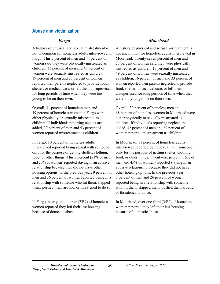### **Abuse and victimization**

A history of physical and sexual mistreatment is not uncommon for homeless adults interviewed in Fargo. Thirty percent of men and 44 percent of women said they were physically mistreated as children, 11 percent of men and 40 percent of women were sexually mistreated as children, 19 percent of men and 27 percent of women reported their parents neglected to provide food, shelter, or medical care, or left them unsupervised for long periods of time when they were too young to be on their own.

Overall, 31 percent of homeless men and 49 percent of homeless women in Fargo were either physically or sexually mistreated as children. If individuals reporting neglect are added, 37 percent of men and 53 percent of women reported mistreatment as children.

In Fargo, 10 percent of homeless adults interviewed reported being sexual with someone only for the purpose of getting shelter, clothing, food, or other things. Thirty percent (21% of men and 50% of women) reported staying in an abusive relationship because they did not have other housing options. In the previous year, 9 percent of men and 36 percent of women reported being in a relationship with someone who hit them, slapped them, pushed them around, or threatened to do so.

In Fargo, nearly one-quarter (23%) of homeless women reported they left their last housing because of domestic abuse.

### *Fargo Moorhead*

A history of physical and sexual mistreatment is not uncommon for homeless adults interviewed in Moorhead. Twenty-seven percent of men and 57 percent of women said they were physically mistreated as children, 15 percent of men and 49 percent of women were sexually mistreated as children, 16 percent of men and 33 percent of women reported their parents neglected to provide food, shelter, or medical care, or left them unsupervised for long periods of time when they were too young to be on their own.

Overall, 30 percent of homeless men and 68 percent of homeless women in Moorhead were either physically or sexually mistreated as children. If individuals reporting neglect are added, 32 percent of men and 69 percent of women reported mistreatment as children.

In Moorhead, 11 percent of homeless adults interviewed reported being sexual with someone only for the purpose of getting shelter, clothing, food, or other things. Twenty-six percent (15% of men and 45% of women) reported staying in an abusive relationship because they did not have other housing options. In the previous year, 8 percent of men and 26 percent of women reported being in a relationship with someone who hit them, slapped them, pushed them around, or threatened to do so.

In Moorhead, over one-third (35%) of homeless women reported they left their last housing because of domestic abuse.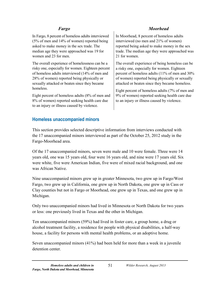In Fargo, 8 percent of homeless adults interviewed (5% of men and 14% of women) reported being asked to make money in the sex trade. The median age they were approached was 19 for women and 23 for men.

The overall experience of homelessness can be a risky one, especially for women. Eighteen percent of homeless adults interviewed (14% of men and 28% of women) reported being physically or sexually attacked or beaten since they became homeless.

Eight percent of homeless adults (8% of men and 8% of women) reported seeking health care due to an injury or illness caused by violence.

# *Fargo Moorhead*

In Moorhead, 8 percent of homeless adults interviewed (no men and 21% of women) reported being asked to make money in the sex trade. The median age they were approached was 21 for women.

The overall experience of being homeless can be a risky one, especially for women. Eighteen percent of homeless adults (11% of men and 30% of women) reported being physically or sexually attacked or beaten since they became homeless.

Eight percent of homeless adults (7% of men and 9% of women) reported seeking health care due to an injury or illness caused by violence.

# **Homeless unaccompanied minors**

This section provides selected descriptive information from interviews conducted with the 17 unaccompanied minors interviewed as part of the October 25, 2012 study in the Fargo-Moorhead area.

Of the 17 unaccompanied minors, seven were male and 10 were female. Three were 14 years old, one was 15 years old, four were 16 years old, and nine were 17 years old. Six were white, five were American Indian, five were of mixed racial background, and one was African Native.

Nine unaccompanied minors grew up in greater Minnesota, two grew up in Fargo/West Fargo, two grew up in California, one grew up in North Dakota, one grew up in Cass or Clay counties but not in Fargo or Moorhead, one grew up in Texas, and one grew up in Michigan.

Only two unaccompanied minors had lived in Minnesota or North Dakota for two years or less: one previously lived in Texas and the other in Michigan.

Ten unaccompanied minors (59%) had lived in foster care, a group home, a drug or alcohol treatment facility, a residence for people with physical disabilities, a half-way house, a facility for persons with mental health problems, or an adoptive home.

Seven unaccompanied minors (41%) had been held for more than a week in a juvenile detention center.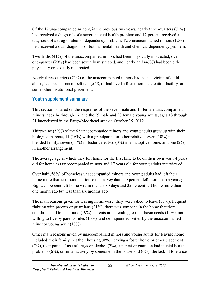Of the 17 unaccompanied minors, in the previous two years, nearly three-quarters (71%) had received a diagnosis of a severe mental health problem and 12 percent received a diagnosis of a drug or alcohol dependency problem. Two unaccompanied minors (12%) had received a dual diagnosis of both a mental health and chemical dependency problem.

Two-fifths (41%) of the unaccompanied minors had been physically mistreated, over one-quarter (29%) had been sexually mistreated, and nearly half (47%) had been either physically or sexually mistreated.

Nearly three-quarters (71%) of the unaccompanied minors had been a victim of child abuse, had been a parent before age 18, or had lived a foster home, detention facility, or some other institutional placement.

# **Youth supplement summary**

This section is based on the responses of the seven male and 10 female unaccompanied minors, ages 14 through 17, and the 29 male and 38 female young adults, ages 18 through 21 interviewed in the Fargo-Moorhead area on October 25, 2012.

Thirty-nine (59%) of the 67 unaccompanied minors and young adults grew up with their biological parents, 11 (16%) with a grandparent or other relative, seven (10%) in a blended family, seven  $(11\%)$  in foster care, two  $(3\%)$  in an adoptive home, and one  $(2\%)$ in another arrangement.

The average age at which they left home for the first time to be on their own was 14 years old for homeless unaccompanied minors and 17 years old for young adults interviewed.

Over half (56%) of homeless unaccompanied minors and young adults had left their home more than six months prior to the survey date; 40 percent left more than a year ago. Eighteen percent left home within the last 30 days and 25 percent left home more than one month ago but less than six months ago.

The main reasons given for leaving home were: they were asked to leave (33%), frequent fighting with parents or guardians (21%), there was someone in the home that they couldn't stand to be around (19%), parents not attending to their basic needs (12%), not willing to live by parents rules (10%), and delinquent activities by the unaccompanied minor or young adult (10%).

Other main reasons given by unaccompanied minors and young adults for leaving home included: their family lost their housing (8%), leaving a foster home or other placement (7%), their parents' use of drugs or alcohol (7%), a parent or guardian had mental health problems (6%), criminal activity by someone in the household (6%), the lack of tolerance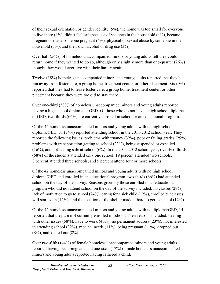of their sexual orientation or gender identity (5%), the home was too small for everyone to live there (4%), didn't feel safe because of violence in the household (4%), became pregnant or made someone pregnant (4%), physical or sexual abuse by someone in the household (3%), and their own alcohol or drug use (3%).

Over half (54%) of homeless unaccompanied minors or young adults felt they could return home if they wanted to do so, although only slightly more than one-quarter (26%) thought they would ever live with their family again.

Twelve (18%) homeless unaccompanied minors and young adults reported that they had run away from foster care, a group home, treatment center, or other placement. Six (9%) reported that they had to leave foster care, a group home, treatment center, or other placement because they were too old to stay there.

Over one-third (38%) of homeless unaccompanied minors and young adults reported having a high school diploma or GED. Of those who do not have a high school diploma or GED, two-thirds (66%) are currently enrolled in school or an educational program.

Of the 42 homeless unaccompanied minors and young adults with no high school diploma/GED, 31 (74%) reported attending school in the 2011-2012 school year. They reported the following issues: problems with truancy (32%), poor or failing grades (29%), problems with transportation getting to school (23%), being suspended or expelled (16%), and not feeling safe at school (6%). In the 2011-2012 school year, over two-thirds (68%) of the students attended only one school, 19 percent attended two schools, 8 percent attended three schools, and 5 percent attend four or more schools.

Of the 42 homeless unaccompanied minors and young adults with no high school diploma/GED and enrolled in an educational program, two-thirds (66%) had attended school on the day of the survey. Reasons given by those enrolled in an educational program who did not attend school on the day of the survey included: no classes (27%), lack of motivation to go to school (24%), caring for a sick child (12%), enrolled but classes will start soon (12%), and the location of the shelter made it hard to get to school (12%).

Of the 42 homeless unaccompanied minors and young adults with no diploma/GED, 14 reported that they are **not** currently enrolled in school. Their reasons included: dealing with other issues (58%), have to work (40%), no permanent address (23%), not interested in attending school (32%), medical needs (11%), being pregnant (11%), dropped out  $(8\%)$ , and kicked out  $(8\%)$ .

Over two-fifths (44%) of female homeless unaccompanied minors and young adults reported having been pregnant, and one-sixth (17%) of male homeless unaccompanied minors and young adults reported having fathered a child.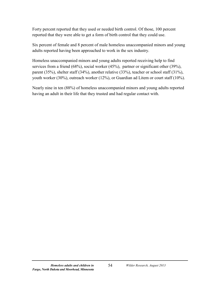Forty percent reported that they used or needed birth control. Of those, 100 percent reported that they were able to get a form of birth control that they could use.

Six percent of female and 8 percent of male homeless unaccompanied minors and young adults reported having been approached to work in the sex industry.

Homeless unaccompanied minors and young adults reported receiving help to find services from a friend (68%), social worker (45%), partner or significant other (39%), parent (35%), shelter staff (34%), another relative (33%), teacher or school staff (31%), youth worker (30%), outreach worker (12%), or Guardian ad Litem or court staff (10%).

Nearly nine in ten (88%) of homeless unaccompanied minors and young adults reported having an adult in their life that they trusted and had regular contact with.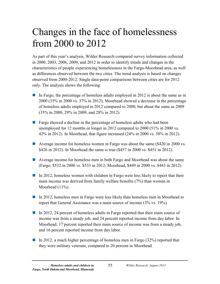# Changes in the face of homelessness from 2000 to 2012

As part of this year's analysis, Wilder Research compared survey information collected in 2000, 2003, 2006, 2009, and 2012 in order to identify trends and changes in the characteristics of people experiencing homelessness in the Fargo-Moorhead area, as well as differences observed between the two cities. The trend analysis is based on changes observed from 2000-2012. Single data-point comparisons between cities are for 2012 only. The analysis shows the following:

- In Fargo, the percentage of homeless adults employed in 2012 is about the same as in 2000 (35% in 2000 vs. 37% in 2012); Moorhead showed a decrease in the percentage of homeless adults employed in 2012 compared to 2000, but about the same as 2009 (35% in 2000, 29% in 2009, and 28% in 2012).
- **Fargo showed a decline in the percentage of homeless adults who had been** unemployed for 12 months or longer in 2012 compared to 2000 (51% in 2000 vs. 42% in 2012). In Moorhead, that figure increased (24% in 2000 vs. 58% in 2012).
- Average income for homeless women in Fargo was about the same (\$420 in 2000 vs. \$426 in 2012). In Moorhead the same is true (\$457 in 2000 vs. \$451 in 2012).
- Average income for homeless men in both Fargo and Moorhead was about the same (Fargo, \$532 in 2000 vs. \$533 in 2012; Moorhead, \$449 in 2000 vs. \$443 in 2012).
- In 2012, homeless women with children in Fargo were less likely to report that their main income was derived from family welfare benefits (7%) than women in Moorhead (11%).
- In 2012, homeless men in Fargo were less likely than homeless men in Moorhead to report that General Assistance was a main source of income (3% vs. 19%).
- In 2012, 24 percent of homeless adults in Fargo reported that their main source of income was from a steady job, and 24 percent reported income from day labor. In Moorhead, 17 percent reported their main source of income was from a steady job, and 16 percent reported income from day labor.
- In 2012, a much higher percentage of homeless men in Fargo (32%) reported that they were military veterans, compared to 20 percent in Moorhead.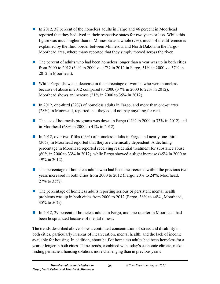- In 2012, 38 percent of the homeless adults in Fargo and 46 percent in Moorhead reported that they had lived in their respective states for two years or less. While this figure was much higher than in Minnesota as a whole (7%), much of the difference is explained by the fluid border between Minnesota and North Dakota in the Fargo-Moorhead area, where many reported that they simply moved across the river.
- $\blacksquare$  The percent of adults who had been homeless longer than a year was up in both cities from 2000 to 2012 (34% in 2000 vs. 47% in 2012 in Fargo, 31% in 2000 vs. 57% in 2012 in Moorhead).
- While Fargo showed a decrease in the percentage of women who were homeless because of abuse in 2012 compared to 2000 (37% in 2000 to 22% in 2012), Moorhead shows an increase (21% in 2000 to 35% in 2012).
- In 2012, one-third (32%) of homeless adults in Fargo, and more than one-quarter (28%) in Moorhead, reported that they could not pay anything for rent.
- The use of hot meals programs was down in Fargo  $(41\%$  in 2000 to 33% in 2012) and in Moorhead (68% in 2000 to 41% in 2012).
- In 2012, over two-fifths  $(43%)$  of homeless adults in Fargo and nearly one-third (30%) in Moorhead reported that they are chemically dependent. A declining percentage in Moorhead reported receiving residential treatment for substance abuse (60% in 2000 to 33% in 2012), while Fargo showed a slight increase (45% in 2000 to 49% in 2012).
- $\blacksquare$  The percentage of homeless adults who had been incarcerated within the previous two years increased in both cities from 2000 to 2012 (Fargo, 20% to 24%; Moorhead, 27% to 35%).
- $\blacksquare$  The percentage of homeless adults reporting serious or persistent mental health problems was up in both cities from 2000 to 2012 (Fargo, 38% to 44% , Moorhead, 35% to 50%).
- In 2012, 29 percent of homeless adults in Fargo, and one-quarter in Moorhead, had been hospitalized because of mental illness.

The trends described above show a continued concentration of stress and disability in both cities, particularly in areas of incarceration, mental health, and the lack of income available for housing. In addition, about half of homeless adults had been homeless for a year or longer in both cities. These trends, combined with today's economic climate, make finding permanent housing solutions more challenging than in previous years.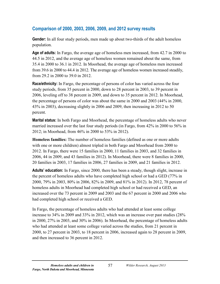# **Comparison of 2000, 2003, 2006, 2009, and 2012 survey results**

**Gender:** In all four study periods, men made up about two-thirds of the adult homeless population.

**Age of adults:** In Fargo, the average age of homeless men increased, from 42.7 in 2000 to 44.5 in 2012, and the average age of homeless women remained about the same, from 35.4 in 2000 to 36.1 in 2012. In Moorhead, the average age of homeless men increased from 39.6 in 2000 to 44.4 in 2012. The average age of homeless women increased steadily, from 29.2 in 2000 to 39.0 in 2012.

**Race/ethnicity:** In Fargo, the percentage of persons of color has varied across the four study periods, from 35 percent in 2000, down to 28 percent in 2003, to 39 percent in 2006, leveling off to 38 percent in 2009, and down to 35 percent in 2012. In Moorhead, the percentage of persons of color was about the same in 2000 and 2003 (44% in 2000, 43% in 2003), decreasing slightly in 2006 and 2009, then increasing in 2012 to 50 percent.

**Marital status:** In both Fargo and Moorhead, the percentage of homeless adults who never married increased over the last four study periods (in Fargo, from 42% in 2000 to 56% in 2012; in Moorhead, from 46% in 2000 to 53% in 2012).

**Homeless families:** The number of homeless families (defined as one or more adults with one or more children) almost tripled in both Fargo and Moorhead from 2000 to 2012. In Fargo, there were 15 families in 2000, 11 families in 2003, and 32 families in 2006, 44 in 2009, and 43 families in 2012). In Moorhead, there were 8 families in 2000, 20 families in 2003, 17 families in 2006, 27 families in 2009, and 21 families in 2012.

**Adults' education:** In Fargo, since 2000, there has been a steady, though slight, increase in the percent of homeless adults who have completed high school or had a GED (77% in 2000, 79% in 2003, 80% in 2006, 82% in 2009, and 81% in 2012). In 2012, 78 percent of homeless adults in Moorhead had completed high school or had received a GED, an increased over the 73 percent in 2009 and 2003 and the 67 percent in 2000 and 2006 who had completed high school or received a GED.

In Fargo, the percentage of homeless adults who had attended at least some college increase to 34% in 2009 and 33% in 2012, which was an increase over past studies (28% in 2000, 27% in 2003, and 30% in 2006). In Moorhead, the percentage of homeless adults who had attended at least some college varied across the studies, from 21 percent in 2000, to 27 percent in 2003, to 18 percent in 2006, increased again to 28 percent in 2009, and then increased to 36 percent in 2012.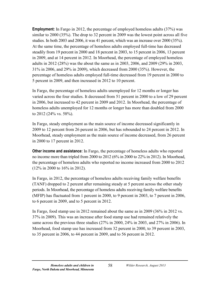**Employment:** In Fargo in 2012, the percentage of employed homeless adults (37%) was similar to 2000 (35%). The drop to 32 percent in 2009 was the lowest point across all five studies. In both 2003 and 2006, it was 41 percent, which was an increase over 2000 (35%). At the same time, the percentage of homeless adults employed full-time has decreased steadily from 19 percent in 2000 and 18 percent in 2003, to 15 percent in 2006, 13 percent in 2009, and at 14 percent in 2012. In Moorhead, the percentage of employed homeless adults in 2012 (28%) was the about the same as in 2003, 2006, and 2009 (29% in 2003, 31% in 2006, and 29% in 2009), which decreased from 2000 (35%). However, the percentage of homeless adults employed full-time decreased from 19 percent in 2000 to 5 percent in 2009, and then increased in 2012 to 10 percent.

In Fargo, the percentage of homeless adults unemployed for 12 months or longer has varied across the four studies. It decreased from 51 percent in 2000 to a low of 29 percent in 2006, but increased to 42 percent in 2009 and 2012. In Moorhead, the percentage of homeless adults unemployed for 12 months or longer has more than doubled from 2000 to 2012 (24% vs. 58%).

In Fargo, steady employment as the main source of income decreased significantly in 2009 to 12 percent from 26 percent in 2006, but has rebounded to 24 percent in 2012. In Moorhead, steady employment as the main source of income decreased, from 26 percent in 2000 to 17 percent in 2012.

**Other income and assistance:** In Fargo, the percentage of homeless adults who reported no income more than tripled from 2000 to 2012 (6% in 2000 to 22% in 2012). In Moorhead, the percentage of homeless adults who reported no income increased from 2000 to 2012 (12% in 2000 to 16% in 2012).

In Fargo, in 2012, the percentage of homeless adults receiving family welfare benefits (TANF) dropped to 2 percent after remaining steady at 5 percent across the other study periods. In Moorhead, the percentage of homeless adults receiving family welfare benefits (MFIP) has fluctuated from 1 percent in 2000, to 9 percent in 2003, to 7 percent in 2006, to 6 percent in 2009, and to 5 percent in 2012.

In Fargo, food stamp use in 2012 remained about the same as in 2009 (36% in 2012 vs. 37% in 2009). This was an increase after food stamp use had remained relatively the same across the previous three studies (27% in 2000, 24% in 2003, and 27% in 2006). In Moorhead, food stamp use has increased from 32 percent in 2000, to 39 percent in 2003, to 35 percent in 2006, to 44 percent in 2009, and to 56 percent in 2012.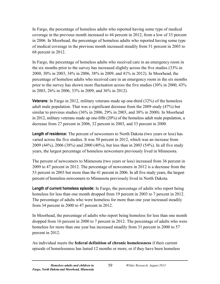In Fargo, the percentage of homeless adults who reported having some type of medical coverage in the previous month increased to 44 percent in 2012, from a low of 33 percent in 2006. In Moorhead, the percentage of homeless adults who reported having some type of medical coverage in the previous month increased steadily from 51 percent in 2003 to 68 percent in 2012.

In Fargo, the percentage of homeless adults who received care in an emergency room in the six months prior to the survey has increased slightly across the five studies (33% in 2000, 30% in 2003, 34% in 2006, 38% in 2009, and 41% in 2012). In Moorhead, the percentage of homeless adults who received care in an emergency room in the six months prior to the survey has shown more fluctuation across the five studies (30% in 2000, 43% in 2003, 26% in 2006, 33% in 2009, and 36% in 2012).

**Veterans:** In Fargo in 2012, military veterans made up one-third (32%) of the homeless adult male population. That was a significant decrease from the 2009 study (47%) but similar to previous studies (36% in 2006, 29% in 2003, and 38% in 2000). In Moorhead in 2012, military veterans made up one-fifth (20%) of the homeless adult male population, a decrease from 27 percent in 2006, 32 percent in 2003, and 33 percent in 2000.

**Length of residence:** The percent of newcomers to North Dakota (two years or less) has varied across the five studies. It was 50 percent in 2012, which was an increase from 2009 (44%), 2006 (38%) and 2000 (40%), but less than in 2003 (54%). In all five study years, the largest percentage of homeless newcomers previously lived in Minnesota.

The percent of newcomers to Minnesota (two years or less) increased from 36 percent in 2009 to 47 percent in 2012. The percentage of newcomers in 2012 is a decrease from the 53 percent in 2003 but more than the 41 percent in 2006. In all five study years, the largest percent of homeless newcomers to Minnesota previously lived in North Dakota.

**Length of current homeless episode:** In Fargo, the percentage of adults who report being homeless for less than one month dropped from 19 percent in 2003 to 7 percent in 2012. The percentage of adults who were homeless for more than one year increased steadily from 34 percent in 2000 to 47 percent in 2012.

In Moorhead, the percentage of adults who report being homeless for less than one month dropped from 16 percent in 2000 to 7 percent in 2012. The percentage of adults who were homeless for more than one year has increased steadily from 31 percent in 2000 to 57 percent in 2012.

An individual meets the **federal definition of chronic homelessness** if their current episode of homelessness has lasted 12 months or more, or if they have been homeless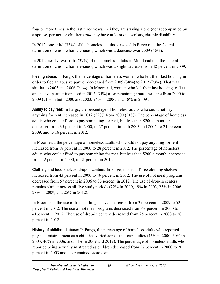four or more times in the last three years; *and* they are staying alone (not accompanied by a spouse, partner, or children) *and* they have at least one serious, chronic disability.

In 2012, one-third (33%) of the homeless adults surveyed in Fargo met the federal definition of chronic homelessness, which was a decrease over 2009 (46%).

In 2012, nearly two-fifths (37%) of the homeless adults in Moorhead met the federal definition of chronic homelessness, which was a slight decrease from 42 percent in 2009.

**Fleeing abuse:** In Fargo, the percentage of homeless women who left their last housing in order to flee an abusive partner decreased from 2009 (38%) to 2012 (23%). That was similar to 2003 and 2006 (21%). In Moorhead, women who left their last housing to flee an abusive partner increased in 2012 (35%) after remaining about the same from 2000 to 2009 (21% in both 2000 and 2003, 24% in 2006, and 18% in 2009).

**Ability to pay rent:** In Fargo, the percentage of homeless adults who could not pay anything for rent increased in 2012 (32%) from 2000 (21%). The percentage of homeless adults who could afford to pay something for rent, but less than \$200 a month, has decreased from 35 percent in 2000, to 27 percent in both 2003 and 2006, to 21 percent in 2009, and to 16 percent in 2012.

In Moorhead, the percentage of homeless adults who could not pay anything for rent increased from 18 percent in 2000 to 28 percent in 2012. The percentage of homeless adults who could afford to pay something for rent, but less than \$200 a month, decreased from 42 percent in 2000, to 21 percent in 2012.

**Clothing and food shelves, drop-in centers:** In Fargo, the use of free clothing shelves increased from 43 percent in 2000 to 49 percent in 2012. The use of hot meal programs decreased from 57 percent in 2006 to 33 percent in 2012. The use of drop-in centers remains similar across all five study periods (22% in 2000, 19% in 2003, 25% in 2006, 23% in 2009, and 25% in 2012).

In Moorhead, the use of free clothing shelves increased from 37 percent in 2009 to 52 percent in 2012. The use of hot meal programs decreased from 68 percent in 2000 to 41percent in 2012. The use of drop-in centers decreased from 25 percent in 2000 to 20 percent in 2012.

**History of childhood abuse:** In Fargo, the percentage of homeless adults who reported physical mistreatment as a child has varied across the four studies (45% in 2000, 30% in 2003, 40% in 2006, and 34% in 2009 and 2012). The percentage of homeless adults who reported being sexually mistreated as children decreased from 27 percent in 2000 to 20 percent in 2003 and has remained steady since.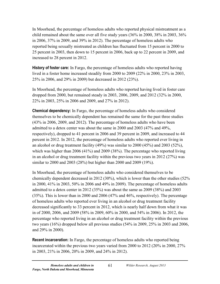In Moorhead, the percentage of homeless adults who reported physical mistreatment as a child remained about the same over all five study years (36% in 2000, 38% in 2003, 36% in 2006, 37% in 2009, and 39% in 2012). The percentage of homeless adults who reported being sexually mistreated as children has fluctuated from 15 percent in 2000 to 25 percent in 2003, then down to 15 percent in 2006, back up to 22 percent in 2009, and increased to 28 percent in 2012.

**History of foster care:** In Fargo, the percentage of homeless adults who reported having lived in a foster home increased steadily from 2000 to 2009 (22% in 2000, 23% in 2003, 25% in 2006, and 29% in 2009) but decreased in 2012 (23%).

In Moorhead, the percentage of homeless adults who reported having lived in foster care dropped from 2000, but remained steady in 2003, 2006, 2009, and 2012 (32% in 2000, 22% in 2003, 25% in 2006 and 2009, and 27% in 2012).

**Chemical dependency:** In Fargo, the percentage of homeless adults who considered themselves to be chemically dependent has remained the same for the past three studies (43% in 2006, 2009, and 2012). The percentage of homeless adults who have been admitted to a detox center was about the same in 2000 and 2003 (47% and 49%, respectively), dropped to 41 percent in 2006 and 39 percent in 2009, and increased to 44 percent in 2012. In 2012, the percentage of homeless adults who reported ever living in an alcohol or drug treatment facility (49%) was similar to 2000 (45%) and 2003 (52%), which was higher than 2006 (41%) and 2009 (38%). The percentage who reported living in an alcohol or drug treatment facility within the previous two years in 2012 (27%) was similar to 2000 and 2003 (28%) but higher than 2000 and 2009 (19%).

In Moorhead, the percentage of homeless adults who considered themselves to be chemically dependent decreased in 2012 (30%), which is lower than the other studies (52% in 2000, 41% in 2003, 50% in 2006 and 49% in 2009). The percentage of homeless adults admitted to a detox center in 2012 (35%) was about the same as 2009 (38%) and 2003 (35%). This is lower than in 2000 and 2006 (47% and 46%, respectively). The percentage of homeless adults who reported ever living in an alcohol or drug treatment facility decreased significantly to 33 percent in 2012, which is nearly half down from what it was in of 2000, 2006, and 2009 (58% in 2009, 60% in 2000, and 54% in 2006). In 2012, the percentage who reported living in an alcohol or drug treatment facility within the previous two years (16%) dropped below all previous studies (54% in 2009, 25% in 2003 and 2006, and 29% in 2000).

**Recent incarceration:** In Fargo, the percentage of homeless adults who reported being incarcerated within the previous two years varied from 2000 to 2012 (20% in 2000, 27% in 2003, 21% in 2006, 20% in 2009, and 24% in 2012).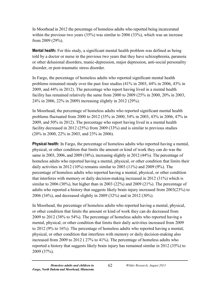In Moorhead in 2012 the percentage of homeless adults who reported being incarcerated within the previous two years  $(35%)$  was similar to 2006  $(33%)$ , which was an increase from 2009 (29%).

**Mental health:** For this study, a significant mental health problem was defined as being told by a doctor or nurse in the previous two years that they have schizophrenia, paranoia or other delusional disorders, manic-depression, major depression, anti-social personality disorder, or post-traumatic stress disorder.

In Fargo, the percentage of homeless adults who reported significant mental health problems remained steady over the past four studies (41% in 2003, 44% in 2006, 43% in 2009, and 44% in 2012). The percentage who report having lived in a mental health facility has remained relatively the same from 2000 to 2009 (25% in 2000, 20% in 2003, 24% in 2006, 22% in 2009) increasing slightly in 2012 (29%).

In Moorhead, the percentage of homeless adults who reported significant mental health problems fluctuated from 2000 to 2012 (35% in 2000, 54% in 2003, 43% in 2006, 47% in 2009, and 50% in 2012). The percentage who report having lived in a mental health facility decreased in 2012 (25%) from 2009 (33%) and is similar to previous studies (20% in 2000, 22% in 2003, and 23% in 2006).

**Physical health:** In Fargo, the percentage of homeless adults who reported having a mental, physical, or other condition that limits the amount or kind of work they can do was the same in 2003, 2006, and 2009 (38%), increasing slightly in 2012 (44%). The percentage of homeless adults who reported having a mental, physical, or other condition that limits their daily activities in 2012 (10%) remains similar to 2003 (11%) and 2009 (9%). The percentage of homeless adults who reported having a mental, physical, or other condition that interferes with memory or daily decision-making increased in 2012 (31%) which is similar to 2006 (30%), but higher than in 2003 (22%) and 2009 (21%). The percentage of adults who reported a history that suggests likely brain injury increased from 2003(23%) to 2006 (34%), and decreased slightly in 2009 (32%) and in 2012 (30%).

In Moorhead, the percentage of homeless adults who reported having a mental, physical, or other condition that limits the amount or kind of work they can do decreased from 2009 to 2012 (38% to 54%). The percentage of homeless adults who reported having a mental, physical, or other condition that limits their daily activities increased from 2009 to 2012 (9% to 16%). The percentage of homeless adults who reported having a mental, physical, or other condition that interferes with memory or daily decision-making also increased from 2009 to 2012 ( 27% to 41%). The percentage of homeless adults who reported a history that suggests likely brain injury has remained similar in 2012 (35%) to 2009 (37%).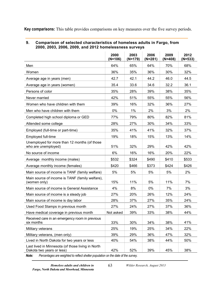**Key comparisons:** This table provides comparisons on key measures over the five survey periods.

|                                                                                | 2000<br>$(N=106)$ | 2003<br>$(N=179)$ | 2006<br>$(N=281)$ | 2009<br>$(N=408)$ | 2012<br>$(N=533)$ |
|--------------------------------------------------------------------------------|-------------------|-------------------|-------------------|-------------------|-------------------|
| Men                                                                            | 64%               | 65%               | 64%               | 70%               | 68%               |
| Women                                                                          | 36%               | 35%               | 36%               | 30%               | 32%               |
| Average age in years (men)                                                     | 42.7              | 42.1              | 44.2              | 46.0              | 44.5              |
| Average age in years (women)                                                   | 35.4              | 33.6              | 34.6              | 32.2              | 36.1              |
| Persons of color                                                               | 35%               | 28%               | 39%               | 38%               | 35%               |
| Never married                                                                  | 42%               | 51%               | 55%               | 55%               | 56%               |
| Women who have children with them                                              | 39%               | 16%               | 32%               | 36%               | 27%               |
| Men who have children with them                                                | 0%                | 1%                | 2%                | 3%                | 2%                |
| Completed high school diploma or GED                                           | 77%               | 79%               | 80%               | 82%               | 81%               |
| Attended some college                                                          | 28%               | 27%               | 30%               | 34%               | 33%               |
| Employed (full-time or part-time)                                              | 35%               | 41%               | 41%               | 32%               | 37%               |
| Employed full-time                                                             | 19%               | 18%               | 15%               | 13%               | 14%               |
| Unemployed for more than 12 months (of those<br>who are unemployed)            | 51%               | 32%               | 29%               | 42%               | 42%               |
| No source of income                                                            | 6%                | 16%               | 16%               | 20%               | 22%               |
| Average monthly income (males)                                                 | \$532             | \$324             | \$490             | \$410             | \$533             |
| Average monthly income (females)                                               | \$420             | \$466             | \$373             | \$424             | \$426             |
| Main source of income is TANF (family welfare)                                 | 5%                | 5%                | 5%                | 5%                | 2%                |
| Main source of income is TANF (family welfare),<br>(women only)                | 15%               | 11%               | 5%                | 11%               | 7%                |
| Main source of income is General Assistance                                    | 4%                | 8%                | 0%                | 7%                | 3%                |
| Main source of income is a steady job                                          | 27%               | 20%               | 26%               | 12%               | 24%               |
| Main source of income is day labor                                             | 28%               | 37%               | 27%               | 35%               | 24%               |
| Used Food Stamps in previous month                                             | 27%               | 24%               | 27%               | 37%               | 36%               |
| Have medical coverage in previous month                                        | Not asked         | 39%               | 33%               | 38%               | 44%               |
| Received care in an emergency room in previous<br>six months                   | 33%               | 30%               | 34%               | 38%               | 41%               |
| Military veterans                                                              | 25%               | 19%               | 25%               | 34%               | 22%               |
| Military veterans, (men only)                                                  | 39%               | 29%               | 36%               | 47%               | 32%               |
| Lived in North Dakota for two years or less                                    | 40%               | 54%               | 38%               | 44%               | 50%               |
| Last lived in Minnesota (of those living in North<br>Dakota two years or less) | 42%               | 52%               | 39%               | 45%               | 38%               |

### **9. Comparison of selected characteristics of homeless adults in Fargo, from 2000, 2003, 2006, 2009, and 2012 homelessness surveys**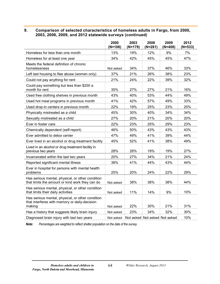### **9. Comparison of selected characteristics of homeless adults in Fargo, from 2000, 2003, 2006, 2009, and 2012 statewide surveys (continued)**

|                                                                                                             | 2000<br>$(N=106)$ | 2003<br>$(N=179)$ | 2006<br>$(N=281)$             | 2009<br>$(N=408)$ | 2012<br>$(N=533)$ |
|-------------------------------------------------------------------------------------------------------------|-------------------|-------------------|-------------------------------|-------------------|-------------------|
| Homeless for less than one month                                                                            | 13%               | 19%               | 12%                           | 9%                | 7%                |
| Homeless for at least one year                                                                              | 34%               | 42%               | 45%                           | 45%               | 47%               |
| Meets the federal definition of chronic<br>homelessness                                                     | Not asked         | 34%               | 37%                           | 46%               | 33%               |
| Left last housing to flee abuse (women only)                                                                | 37%               | 21%               | 26%                           | 38%               | 23%               |
| Could not pay anything for rent                                                                             | 21%               | 24%               | 22%                           | 39%               | 32%               |
| Could pay something but less than \$200 a<br>month for rent                                                 | 35%               | 27%               | 27%                           | 21%               | 16%               |
| Used free clothing shelves in previous month                                                                | 43%               | 40%               | 53%                           | 44%               | 49%               |
| Used hot meal programs in previous month                                                                    | 41%               | 42%               | 57%                           | 49%               | 33%               |
| Used drop-in centers in previous month                                                                      | 22%               | 19%               | 25%                           | 23%               | 25%               |
| Physically mistreated as a child                                                                            | 45%               | 30%               | 40%                           | 34%               | 34%               |
| Sexually mistreated as a child                                                                              | 27%               | 20%               | 21%                           | 20%               | 20%               |
| Ever in foster care                                                                                         | 22%               | 23%               | 25%                           | 29%               | 23%               |
| Chemically dependent (self-report)                                                                          | 46%               | 50%               | 43%                           | 43%               | 43%               |
| Ever admitted to detox center                                                                               | 47%               | 49%               | 41%                           | 39%               | 44%               |
| Ever lived in an alcohol or drug treatment facility                                                         | 45%               | 52%               | 41%                           | 38%               | 49%               |
| Lived in an alcohol or drug treatment facility in<br>previous two years                                     | 28%               | 28%               | 19%                           | 19%               | 27%               |
| Incarcerated within the last two years                                                                      | 20%               | 27%               | 34%                           | 21%               | 24%               |
| Reported significant mental illness                                                                         | 38%               | 41%               | 44%                           | 43%               | 44%               |
| Ever in hospital for persons with mental health<br>problems                                                 | 25%               | 20%               | 24%                           | 22%               | 29%               |
| Has serious mental, physical, or other condition<br>that limits the amount or kind work they can do         | Not asked         | 38%               | 38%                           | 38%               | 44%               |
| Has serious mental, physical, or other condition<br>that limits their daily activities                      | Not asked         | 11%               | 14%                           | 9%                | 10%               |
| Has serious mental, physical, or other condition<br>that interferes with memory or daily-decision<br>making | Not asked         | 22%               | 30%                           | 21%               | 31%               |
| Has a history that suggests likely brain injury                                                             | Not asked         | 23%               | 34%                           | 32%               | 30%               |
| Diagnosed brain injury with last two years                                                                  | Not asked         |                   | Not asked Not asked Not asked |                   | 10%               |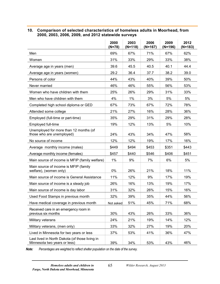### **10. Comparison of selected characteristics of homeless adults in Moorhead, from 2000, 2003, 2006, 2009, and 2012 statewide surveys**

|                                                                                | 2000<br>(N=78) | 2003<br>$(N=118)$ | 2006<br>$(N=167)$ | 2009<br>(N=196) | 2012<br>$(N=183)$ |
|--------------------------------------------------------------------------------|----------------|-------------------|-------------------|-----------------|-------------------|
| Men                                                                            | 69%            | 67%               | 71%               | 67%             | 62%               |
| Women                                                                          | 31%            | 33%               | 29%               | 33%             | 38%               |
| Average age in years (men)                                                     | 39.6           | 45.5              | 40.5              | 40.1            | 44.4              |
| Average age in years (women)                                                   | 29.2           | 36.4              | 37.7              | 38.2            | 39.0              |
| Persons of color                                                               | 44%            | 43%               | 40%               | 39%             | 50%               |
| Never married                                                                  | 46%            | 46%               | 55%               | 56%             | 53%               |
| Women who have children with them                                              | 25%            | 26%               | 29%               | 31%             | 33%               |
| Men who have children with them                                                | 4%             | 1%                | 3%                | 5%              | 5%                |
| Completed high school diploma or GED                                           | 67%            | 73%               | 67%               | 72%             | 78%               |
| Attended some college                                                          | 21%            | 27%               | 16%               | 28%             | 36%               |
| Employed (full-time or part-time)                                              | 35%            | 29%               | 31%               | 29%             | 28%               |
| Employed full-time                                                             | 19%            | 12%               | 13%               | 5%              | 10%               |
| Unemployed for more than 12 months (of<br>those who are unemployed)            | 24%            | 43%               | 34%               | 47%             | 58%               |
| No source of income                                                            | 12%            | 12%               | 19%               | 17%             | 16%               |
| Average monthly income (males)                                                 | \$449          | \$494             | \$453             | \$351           | \$443             |
| Average monthly income (females)                                               | \$457          | \$440             | \$546             | \$406           | \$451             |
| Main source of income is MFIP (family welfare)                                 | 1%             | 9%                | 7%                | 6%              | 5%                |
| Main source of income is MFIP (family<br>welfare), (women only)                | 0%             | 26%               | 21%               | 18%             | 11%               |
| Main source of income is General Assistance                                    | 11%            | 12%               | 9%                | 17%             | 19%               |
| Main source of income is a steady job                                          | 26%            | 16%               | 13%               | 19%             | 17%               |
| Main source of income is day labor                                             | 31%            | 32%               | 26%               | 15%             | 16%               |
| Used Food Stamps in previous month                                             | 32%            | 39%               | 35%               | 44%             | 56%               |
| Have medical coverage in previous month                                        | Not asked      | 51%               | 45%               | 71%             | 68%               |
| Received care in an emergency room in<br>previous six months                   | 30%            | 43%               | 26%               | 33%             | 36%               |
| Military veterans                                                              | 24%            | 21%               | 19%               | 14%             | 12%               |
| Military veterans, (men only)                                                  | 33%            | 32%               | 27%               | 19%             | 20%               |
| Lived in Minnesota for two years or less                                       | 37%            | 53%               | 41%               | 36%             | 47%               |
| Last lived in North Dakota (of those living in<br>Minnesota two years or less) | 39%            | 34%               | 53%               | 43%             | 46%               |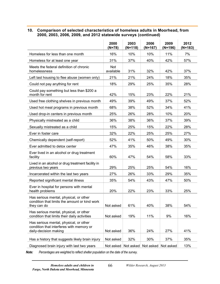### **10. Comparison of selected characteristics of homeless adults in Moorhead, from 2000, 2003, 2006, 2009, and 2012 statewide surveys (continued)**

|                                                                                                             | 2000<br>(N=78)          | 2003<br>$(N=118)$ | 2006<br>$(N=167)$ | 2009<br>$(N=196)$ | 2012<br>$(N=183)$ |
|-------------------------------------------------------------------------------------------------------------|-------------------------|-------------------|-------------------|-------------------|-------------------|
| Homeless for less than one month                                                                            | 16%                     | 10%               | 10%               | 11%               | 7%                |
| Homeless for at least one year                                                                              | 31%                     | 37%               | 40%               | 42%               | 57%               |
| Meets the federal definition of chronic<br>homelessness                                                     | <b>Not</b><br>available | 31%               | 32%               | 42%               | 37%               |
| Left last housing to flee abuse (women only)                                                                | 21%                     | 21%               | 24%               | 18%               | 35%               |
| Could not pay anything for rent                                                                             | 18%                     | 29%               | 25%               | 35%               | 28%               |
| Could pay something but less than \$200 a<br>month for rent                                                 | 42%                     | 15%               | 23%               | 22%               | 21%               |
| Used free clothing shelves in previous month                                                                | 49%                     | 39%               | 49%               | 37%               | 52%               |
| Used hot meal programs in previous month                                                                    | 68%                     | 38%               | 52%               | 34%               | 41%               |
| Used drop-in centers in previous month                                                                      | 25%                     | 26%               | 28%               | 10%               | 20%               |
| Physically mistreated as a child                                                                            | 36%                     | 38%               | 36%               | 37%               | 39%               |
| Sexually mistreated as a child                                                                              | 15%                     | 25%               | 15%               | 22%               | 28%               |
| Ever in foster care                                                                                         | 32%                     | 22%               | 25%               | 25%               | 27%               |
| Chemically dependent (self-report)                                                                          | 52%                     | 41%               | 50%               | 49%               | 30%               |
| Ever admitted to detox center                                                                               | 47%                     | 35%               | 46%               | 38%               | 35%               |
| Ever lived in an alcohol or drug treatment<br>facility                                                      | 60%                     | 47%               | 54%               | 58%               | 33%               |
| Lived in an alcohol or drug treatment facility in<br>previous two years                                     | 29%                     | 25%               | 25%               | 54%               | 16%               |
| Incarcerated within the last two years                                                                      | 27%                     | 26%               | 33%               | 29%               | 35%               |
| Reported significant mental illness                                                                         | 35%                     | 54%               | 43%               | 47%               | 50%               |
| Ever in hospital for persons with mental<br>health problems                                                 | 20%                     | 22%               | 23%               | 33%               | 25%               |
| Has serious mental, physical, or other<br>condition that limits the amount or kind work<br>they can do      | Not asked               | 61%               | 40%               | 38%               | 54%               |
| Has serious mental, physical, or other<br>condition that limits their daily activities                      | Not asked               | 19%               | 11%               | 9%                | 16%               |
| Has serious mental, physical, or other<br>condition that interferes with memory or<br>daily-decision making | Not asked               | 36%               | 24%               | 27%               | 41%               |
| Has a history that suggests likely brain injury                                                             | Not asked               | 32%               | 30%               | 37%               | 35%               |
| Diagnosed brain injury with last two years                                                                  | Not asked               | Not asked         | Not asked         | Not asked         | 13%               |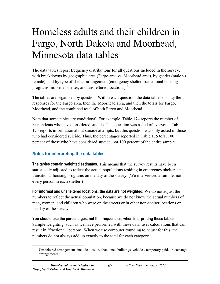# Homeless adults and their children in Fargo, North Dakota and Moorhead, Minnesota data tables

The data tables report frequency distributions for all questions included in the survey, with breakdowns by geographic area (Fargo area vs. Moorhead area), by gender (male vs. female), and by type of shelter arrangement (emergency shelter, transitional housing programs, informal shelter, and unsheltered locations).[8](#page-76-0)

The tables are organized by question. Within each question, the data tables display the responses for the Fargo area, then the Moorhead area, and then the totals for Fargo, Moorhead, and the combined total of both Fargo and Moorhead.

Note that some tables are conditional. For example, Table 174 reports the number of respondents who have considered suicide. This question was asked of everyone. Table 175 reports information about suicide attempts, but this question was only asked of those who had considered suicide. Thus, the percentages reported in Table 175 total 100 percent of those who have considered suicide, not 100 percent of the entire sample.

## **Notes for interpreting the data tables**

**The tables contain weighted estimates.** This means that the survey results have been statistically adjusted to reflect the actual populations residing in emergency shelters and transitional housing programs on the day of the survey. (We interviewed a sample, not every person in each shelter.)

**For informal and unsheltered locations, the data are not weighted.** We do not adjust the numbers to reflect the actual population, because we do not know the actual numbers of men, women, and children who were on the streets or in other non-shelter locations on the day of the survey.

### **You should use the percentages, not the frequencies, when interpreting these tables.**

Sample weighting, such as we have performed with these data, uses calculations that can result in "fractional" persons. When we use computer rounding to adjust for this, the numbers do not always add up exactly to the total for each category.

<span id="page-76-0"></span>Unsheltered arrangements include outside, abandoned buildings, vehicles, temporary paid, or exchange arrangements.